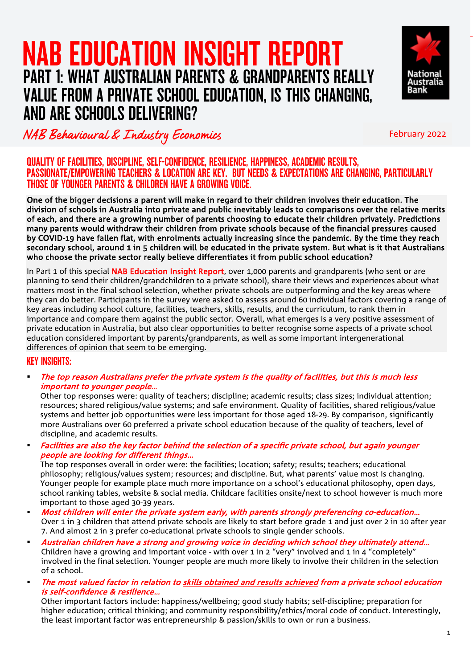### NAB EDUCATION INSIGHT REPORT ֖֖֖֖֚֚֚֚֚֚֬ PART 1: WHAT AUSTRALIAN PARENTS & GRANDPARENTS REALLY VALUE FROM A PRIVATE SCHOOL EDUCATION, IS THIS CHANGING, AND ARE SCHOOLS DELIVERING?



### NAB Behavioural & Industry Economics February 2022

#### QUALITY OF FACILITIES, DISCIPLINE, SELF-CONFIDENCE, RESILIENCE, HAPPINESS, ACADEMIC RESULTS, PASSIONATE/EMPOWERING TEACHERS & LOCATION ARE KEY. BUT NEEDS & EXPECTATIONS ARE CHANGING, PARTICULARLY THOSE OF YOUNGER PARENTS & CHILDREN HAVE A GROWING VOICE.

One of the bigger decisions a parent will make in regard to their children involves their education. The division of schools in Australia into private and public inevitably leads to comparisons over the relative merits of each, and there are a growing number of parents choosing to educate their children privately. Predictions many parents would withdraw their children from private schools because of the financial pressures caused by COVID-19 have fallen flat, with enrolments actually increasing since the pandemic. By the time they reach secondary school, around 1 in 5 children will be educated in the private system. But what is it that Australians who choose the private sector really believe differentiates it from public school education?

In Part 1 of this special **NAB Education Insight Report**, over 1,000 parents and grandparents (who sent or are planning to send their children/grandchildren to a private school), share their views and experiences about what matters most in the final school selection, whether private schools are outperforming and the key areas where they can do better. Participants in the survey were asked to assess around 60 individual factors covering a range of key areas including school culture, facilities, teachers, skills, results, and the curriculum, to rank them in importance and compare them against the public sector. Overall, what emerges is a very positive assessment of private education in Australia, but also clear opportunities to better recognise some aspects of a private school education considered important by parents/grandparents, as well as some important intergenerational differences of opinion that seem to be emerging.

#### KEY INSIGHTS:

 The top reason Australians prefer the private system is the quality of facilities, but this is much less important to younger people…

Other top responses were: quality of teachers; discipline; academic results; class sizes; individual attention; resources; shared religious/value systems; and safe environment. Quality of facilities, shared religious/value systems and better job opportunities were less important for those aged 18-29. By comparison, significantly more Australians over 60 preferred a private school education because of the quality of teachers, level of discipline, and academic results.

 Facilities are also the key factor behind the selection of a specific private school, but again younger people are looking for different things…

The top responses overall in order were: the facilities; location; safety; results; teachers; educational philosophy; religious/values system; resources; and discipline. But, what parents' value most is changing. Younger people for example place much more importance on a school's educational philosophy, open days, school ranking tables, website & social media. Childcare facilities onsite/next to school however is much more important to those aged 30-39 years.

- Most children will enter the private system early, with parents strongly preferencing co-education… Over 1 in 3 children that attend private schools are likely to start before grade 1 and just over 2 in 10 after year 7. And almost 2 in 3 prefer co-educational private schools to single gender schools.
- Australian children have a strong and growing voice in deciding which school they ultimately attend… Children have a growing and important voice - with over 1 in 2 "very" involved and 1 in 4 "completely" involved in the final selection. Younger people are much more likely to involve their children in the selection of a school.
- The most valued factor in relation to skills obtained and results achieved from a private school education is self-confidence & resilience…

Other important factors include: happiness/wellbeing; good study habits; self-discipline; preparation for higher education; critical thinking; and community responsibility/ethics/moral code of conduct. Interestingly, the least important factor was entrepreneurship & passion/skills to own or run a business.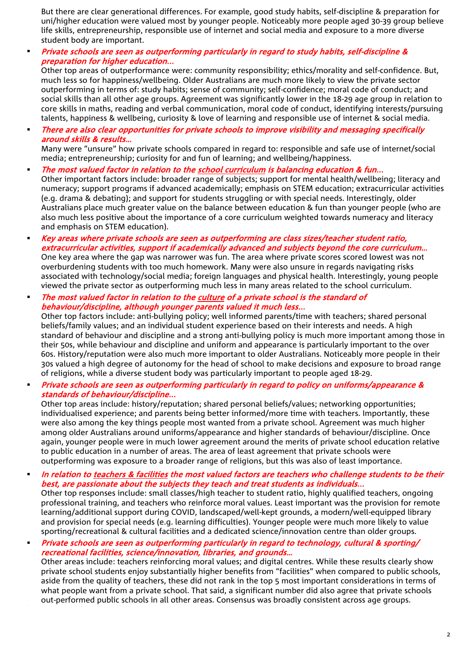But there are clear generational differences. For example, good study habits, self-discipline & preparation for uni/higher education were valued most by younger people. Noticeably more people aged 30-39 group believe life skills, entrepreneurship, responsible use of internet and social media and exposure to a more diverse student body are important.

 Private schools are seen as outperforming particularly in regard to study habits, self-discipline & preparation for higher education...

Other top areas of outperformance were: community responsibility; ethics/morality and self-confidence. But, much less so for happiness/wellbeing. Older Australians are much more likely to view the private sector outperforming in terms of: study habits; sense of community; self-confidence; moral code of conduct; and social skills than all other age groups. Agreement was significantly lower in the 18-29 age group in relation to core skills in maths, reading and verbal communication, moral code of conduct, identifying interests/pursuing talents, happiness & wellbeing, curiosity & love of learning and responsible use of internet & social media.

 There are also clear opportunities for private schools to improve visibility and messaging specifically around skills & results…

Many were "unsure" how private schools compared in regard to: responsible and safe use of internet/social media; entrepreneurship; curiosity for and fun of learning; and wellbeing/happiness.

- The most valued factor in relation to the school curriculum is balancing education & fun... Other important factors include: broader range of subjects; support for mental health/wellbeing; literacy and numeracy; support programs if advanced academically; emphasis on STEM education; extracurricular activities (e.g. drama & debating); and support for students struggling or with special needs. Interestingly, older Australians place much greater value on the balance between education & fun than younger people (who are also much less positive about the importance of a core curriculum weighted towards numeracy and literacy and emphasis on STEM education).
- Key areas where private schools are seen as outperforming are class sizes/teacher student ratio, extracurricular activities, support if academically advanced and subjects beyond the core curriculum… One key area where the gap was narrower was fun. The area where private scores scored lowest was not overburdening students with too much homework. Many were also unsure in regards navigating risks associated with technology/social media; foreign languages and physical health. Interestingly, young people viewed the private sector as outperforming much less in many areas related to the school curriculum.
- The most valued factor in relation to the culture of a private school is the standard of behaviour/discipline, although younger parents valued it much less...

Other top factors include: anti-bullying policy; well informed parents/time with teachers; shared personal beliefs/family values; and an individual student experience based on their interests and needs. A high standard of behaviour and discipline and a strong anti-bullying policy is much more important among those in their 50s, while behaviour and discipline and uniform and appearance is particularly important to the over 60s. History/reputation were also much more important to older Australians. Noticeably more people in their 30s valued a high degree of autonomy for the head of school to make decisions and exposure to broad range of religions, while a diverse student body was particularly important to people aged 18-29.

#### Private schools are seen as outperforming particularly in regard to policy on uniforms/appearance & standards of behaviour/discipline...

Other top areas include: history/reputation; shared personal beliefs/values; networking opportunities; individualised experience; and parents being better informed/more time with teachers. Importantly, these were also among the key things people most wanted from a private school. Agreement was much higher among older Australians around uniforms/appearance and higher standards of behaviour/discipline. Once again, younger people were in much lower agreement around the merits of private school education relative to public education in a number of areas. The area of least agreement that private schools were outperforming was exposure to a broader range of religions, but this was also of least importance.

#### In relation to teachers & facilities the most valued factors are teachers who challenge students to be their best, are passionate about the subjects they teach and treat students as individuals...

Other top responses include: small classes/high teacher to student ratio, highly qualified teachers, ongoing professional training, and teachers who reinforce moral values. Least important was the provision for remote learning/additional support during COVID, landscaped/well-kept grounds, a modern/well-equipped library and provision for special needs (e.g. learning difficulties). Younger people were much more likely to value sporting/recreational & cultural facilities and a dedicated science/innovation centre than older groups.

 Private schools are seen as outperforming particularly in regard to technology, cultural & sporting/ recreational facilities, science/innovation, libraries, and grounds…

Other areas include: teachers reinforcing moral values; and digital centres. While these results clearly show private school students enjoy substantially higher benefits from "facilities" when compared to public schools, aside from the quality of teachers, these did not rank in the top 5 most important considerations in terms of what people want from a private school. That said, a significant number did also agree that private schools out-performed public schools in all other areas. Consensus was broadly consistent across age groups.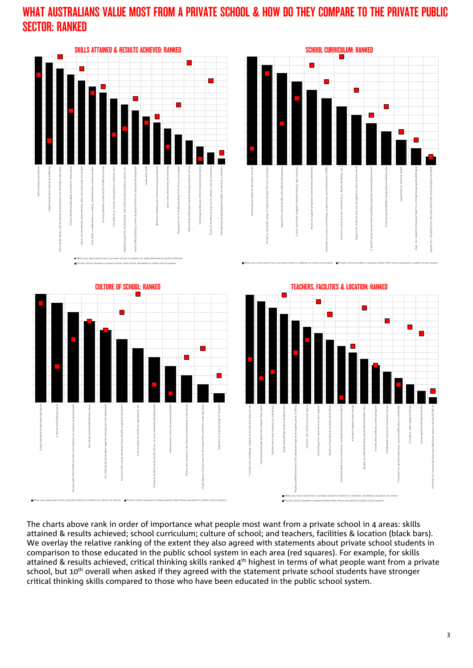### WHAT AUSTRALIANS VALUE MOST FROM A PRIVATE SCHOOL & HOW DO THEY COMPARE TO THE PRIVATE PUBLIC SECTOR: RANKED



The charts above rank in order of importance what people most want from a private school in 4 areas: skills attained & results achieved; school curriculum; culture of school; and teachers, facilities & location (black bars). We overlay the relative ranking of the extent they also agreed with statements about private school students in comparison to those educated in the public school system in each area (red squares). For example, for skills attained & results achieved, critical thinking skills ranked 4<sup>th</sup> highest in terms of what people want from a private school, but 10<sup>th</sup> overall when asked if they agreed with the statement private school students have stronger critical thinking skills compared to those who have been educated in the public school system.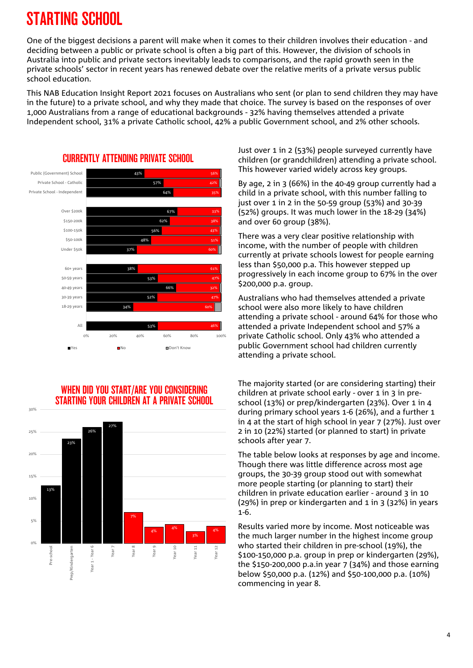# STARTING SCHOOL

One of the biggest decisions a parent will make when it comes to their children involves their education - and deciding between a public or private school is often a big part of this. However, the division of schools in Australia into public and private sectors inevitably leads to comparisons, and the rapid growth seen in the private schools' sector in recent years has renewed debate over the relative merits of a private versus public school education.

This NAB Education Insight Report 2021 focuses on Australians who sent (or plan to send children they may have in the future) to a private school, and why they made that choice. The survey is based on the responses of over 1,000 Australians from a range of educational backgrounds - 32% having themselves attended a private Independent school, 31% a private Catholic school, 42% a public Government school, and 2% other schools.



# CURRENTLY ATTENDING PRIVATE SCHOOL

#### WHEN DID YOU START/ARE YOU CONSIDERING STARTING YOUR CHILDREN AT A PRIVATE SCHOOL



Just over 1 in 2 (53%) people surveyed currently have children (or grandchildren) attending a private school. This however varied widely across key groups.

By age, 2 in 3 (66%) in the 40-49 group currently had a child in a private school, with this number falling to just over 1 in 2 in the 50-59 group (53%) and 30-39 (52%) groups. It was much lower in the 18-29 (34%) and over 60 group (38%).

There was a very clear positive relationship with income, with the number of people with children currently at private schools lowest for people earning less than \$50,000 p.a. This however stepped up progressively in each income group to 67% in the over \$200,000 p.a. group.

Australians who had themselves attended a private school were also more likely to have children attending a private school - around 64% for those who attended a private Independent school and 57% a private Catholic school. Only 43% who attended a public Government school had children currently attending a private school.

The majority started (or are considering starting) their children at private school early - over 1 in 3 in preschool (13%) or prep/kindergarten (23%). Over 1 in 4 during primary school years 1-6 (26%), and a further 1 in 4 at the start of high school in year 7 (27%). Just over 2 in 10 (22%) started (or planned to start) in private schools after year 7.

The table below looks at responses by age and income. Though there was little difference across most age groups, the 30-39 group stood out with somewhat more people starting (or planning to start) their children in private education earlier - around 3 in 10 (29%) in prep or kindergarten and 1 in 3 (32%) in years 1-6.

Results varied more by income. Most noticeable was the much larger number in the highest income group who started their children in pre-school (19%), the \$100-150,000 p.a. group in prep or kindergarten (29%), the \$150-200,000 p.a.in year 7 (34%) and those earning below \$50,000 p.a. (12%) and \$50-100,000 p.a. (10%) commencing in year 8.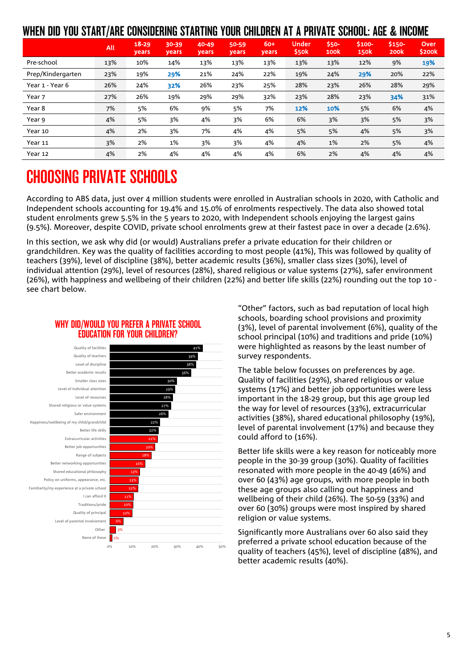### WHEN DID YOU START/ARE CONSIDERING STARTING YOUR CHILDREN AT A PRIVATE SCHOOL: AGE & INCOME

|                   | <b>All</b> | $18 - 29$<br><b>years</b> | $30 - 39$<br>years | 40-49<br>years | 50-59<br>years | $60+$<br><b>years</b> | <b>Under</b><br>\$50k | $$50-$<br>100 <sub>k</sub> | \$100-<br><b>150k</b> | \$150-<br><b>200k</b> | Over<br>\$200 <sub>k</sub> |
|-------------------|------------|---------------------------|--------------------|----------------|----------------|-----------------------|-----------------------|----------------------------|-----------------------|-----------------------|----------------------------|
| Pre-school        | 13%        | 10%                       | 14%                | 13%            | 13%            | 13%                   | 13%                   | 13%                        | 12%                   | 9%                    | 19%                        |
| Prep/Kindergarten | 23%        | 19%                       | 29%                | 21%            | 24%            | 22%                   | 19%                   | 24%                        | 29%                   | 20%                   | 22%                        |
| Year 1 - Year 6   | 26%        | 24%                       | 32%                | 26%            | 23%            | 25%                   | 28%                   | 23%                        | 26%                   | 28%                   | 29%                        |
| Year 7            | 27%        | 26%                       | 19%                | 29%            | 29%            | 32%                   | 23%                   | 28%                        | 23%                   | 34%                   | 31%                        |
| Year 8            | 7%         | 5%                        | 6%                 | 9%             | 5%             | 7%                    | 12%                   | 10%                        | 5%                    | 6%                    | 4%                         |
| Year 9            | 4%         | 5%                        | 3%                 | 4%             | 3%             | 6%                    | 6%                    | 3%                         | 3%                    | 5%                    | 3%                         |
| Year 10           | 4%         | 2%                        | 3%                 | 7%             | 4%             | 4%                    | 5%                    | 5%                         | 4%                    | 5%                    | 3%                         |
| Year 11           | 3%         | 2%                        | 1%                 | 3%             | 3%             | 4%                    | 4%                    | 1%                         | 2%                    | 5%                    | 4%                         |
| Year 12           | 4%         | 2%                        | 4%                 | 4%             | 4%             | 4%                    | 6%                    | 2%                         | 4%                    | 4%                    | 4%                         |

# CHOOSING PRIVATE SCHOOLS

According to ABS data, just over 4 million students were enrolled in Australian schools in 2020, with Catholic and Independent schools accounting for 19.4% and 15.0% of enrolments respectively. The data also showed total student enrolments grew 5.5% in the 5 years to 2020, with Independent schools enjoying the largest gains (9.5%). Moreover, despite COVID, private school enrolments grew at their fastest pace in over a decade (2.6%).

In this section, we ask why did (or would) Australians prefer a private education for their children or grandchildren. Key was the quality of facilities according to most people (41%), This was followed by quality of teachers (39%), level of discipline (38%), better academic results (36%), smaller class sizes (30%), level of individual attention (29%), level of resources (28%), shared religious or value systems (27%), safer environment (26%), with happiness and wellbeing of their children (22%) and better life skills (22%) rounding out the top 10 see chart below.



#### WHY DID/WOULD YOU PREFER A PRIVATE SCHOOL EDUCATION FOR YOUR CHILDREN?

"Other" factors, such as bad reputation of local high schools, boarding school provisions and proximity (3%), level of parental involvement (6%), quality of the school principal (10%) and traditions and pride (10%) were highlighted as reasons by the least number of survey respondents.

The table below focusses on preferences by age. Quality of facilities (29%), shared religious or value systems (17%) and better job opportunities were less important in the 18-29 group, but this age group led the way for level of resources (33%), extracurricular activities (38%), shared educational philosophy (19%), level of parental involvement (17%) and because they could afford to (16%).

Better life skills were a key reason for noticeably more people in the 30-39 group (30%). Quality of facilities resonated with more people in the 40-49 (46%) and over 60 (43%) age groups, with more people in both these age groups also calling out happiness and wellbeing of their child (26%). The 50-59 (33%) and over 60 (30%) groups were most inspired by shared religion or value systems.

Significantly more Australians over 60 also said they preferred a private school education because of the quality of teachers (45%), level of discipline (48%), and better academic results (40%).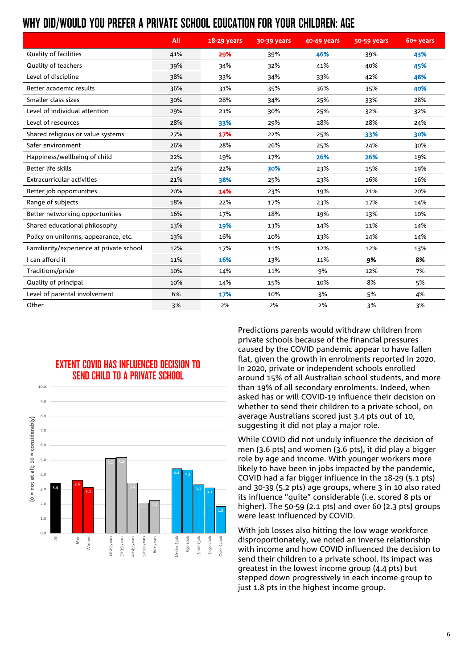### WHY DID/WOULD YOU PREFER A PRIVATE SCHOOL EDUCATION FOR YOUR CHILDREN: AGE

|                                          | All | 18-29 years | 30-39 years | 40-49 years | 50-59 years | 60+ years |
|------------------------------------------|-----|-------------|-------------|-------------|-------------|-----------|
| Quality of facilities                    | 41% | 29%         | 39%         | 46%         | 39%         | 43%       |
| Quality of teachers                      | 39% | 34%         | 32%         | 41%         | 40%         | 45%       |
| Level of discipline                      | 38% | 33%         | 34%         | 33%         | 42%         | 48%       |
| Better academic results                  | 36% | 31%         | 35%         | 36%         | 35%         | 40%       |
| Smaller class sizes                      | 30% | 28%         | 34%         | 25%         | 33%         | 28%       |
| Level of individual attention            | 29% | 21%         | 30%         | 25%         | 32%         | 32%       |
| Level of resources                       | 28% | 33%         | 29%         | 28%         | 28%         | 24%       |
| Shared religious or value systems        | 27% | 17%         | 22%         | 25%         | 33%         | 30%       |
| Safer environment                        | 26% | 28%         | 26%         | 25%         | 24%         | 30%       |
| Happiness/wellbeing of child             | 22% | 19%         | 17%         | 26%         | 26%         | 19%       |
| Better life skills                       | 22% | 22%         | 30%         | 23%         | 15%         | 19%       |
| <b>Extracurricular activities</b>        | 21% | 38%         | 25%         | 23%         | 16%         | 16%       |
| Better job opportunities                 | 20% | 14%         | 23%         | 19%         | 21%         | 20%       |
| Range of subjects                        | 18% | 22%         | 17%         | 23%         | 17%         | 14%       |
| Better networking opportunities          | 16% | 17%         | 18%         | 19%         | 13%         | 10%       |
| Shared educational philosophy            | 13% | 19%         | 13%         | 14%         | 11%         | 14%       |
| Policy on uniforms, appearance, etc.     | 13% | 16%         | 10%         | 13%         | 14%         | 14%       |
| Familiarity/experience at private school | 12% | 17%         | 11%         | 12%         | 12%         | 13%       |
| I can afford it                          | 11% | 16%         | 13%         | 11%         | 9%          | 8%        |
| Traditions/pride                         | 10% | 14%         | 11%         | 9%          | 12%         | 7%        |
| Quality of principal                     | 10% | 14%         | 15%         | 10%         | 8%          | 5%        |
| Level of parental involvement            | 6%  | 17%         | 10%         | 3%          | 5%          | 4%        |
| Other                                    | 3%  | 2%          | 2%          | 2%          | 3%          | 3%        |





Predictions parents would withdraw children from private schools because of the financial pressures caused by the COVID pandemic appear to have fallen flat, given the growth in enrolments reported in 2020. In 2020, private or independent schools enrolled around 15% of all Australian school students, and more than 19% of all secondary enrolments. Indeed, when asked has or will COVID-19 influence their decision on whether to send their children to a private school, on average Australians scored just 3.4 pts out of 10, suggesting it did not play a major role.

While COVID did not unduly influence the decision of men (3.6 pts) and women (3.6 pts), it did play a bigger role by age and income. With younger workers more likely to have been in jobs impacted by the pandemic, COVID had a far bigger influence in the 18-29 (5.1 pts) and 30-39 (5.2 pts) age groups, where 3 in 10 also rated its influence "quite" considerable (i.e. scored 8 pts or higher). The 50-59 (2.1 pts) and over 60 (2.3 pts) groups were least influenced by COVID.

With job losses also hitting the low wage workforce disproportionately, we noted an inverse relationship with income and how COVID influenced the decision to send their children to a private school. Its impact was greatest in the lowest income group (4.4 pts) but stepped down progressively in each income group to just 1.8 pts in the highest income group.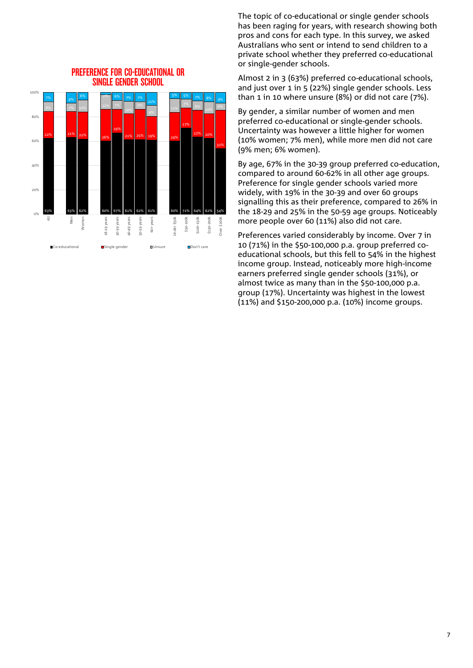

#### PREFERENCE FOR CO-EDUCATIONAL OR SINGLE GENDER SCHOOL

The topic of co-educational or single gender schools has been raging for years, with [research](https://www.heraldsun.com.au/education/study-reveals-benefits-of-allgirls-schools/news-story/54d1c3b36b18468f83f060f9eb6ac5e1) showing both pros and cons for each type. In this survey, we asked Australians who sent or intend to send children to a private school whether they preferred co-educational or single-gender schools.

Almost 2 in 3 (63%) preferred co-educational schools, and just over 1 in 5 (22%) single gender schools. Less than 1 in 10 where unsure (8%) or did not care (7%).

By gender, a similar number of women and men preferred co-educational or single-gender schools. Uncertainty was however a little higher for women (10% women; 7% men), while more men did not care (9% men; 6% women).

By age, 67% in the 30-39 group preferred co-education, compared to around 60-62% in all other age groups. Preference for single gender schools varied more widely, with 19% in the 30-39 and over 60 groups signalling this as their preference, compared to 26% in the 18-29 and 25% in the 50-59 age groups. Noticeably more people over 60 (11%) also did not care.

Preferences varied considerably by income. Over 7 in 10 (71%) in the \$50-100,000 p.a. group preferred coeducational schools, but this fell to 54% in the highest income group. Instead, noticeably more high-income earners preferred single gender schools (31%), or almost twice as many than in the \$50-100,000 p.a. group (17%). Uncertainty was highest in the lowest (11%) and \$150-200,000 p.a. (10%) income groups.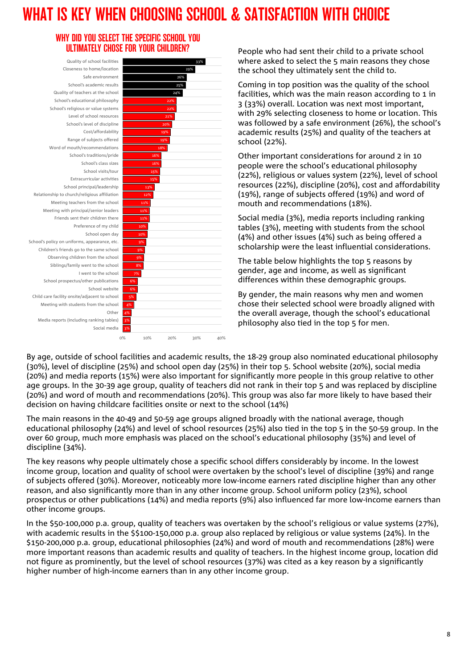# WHAT IS KEY WHEN CHOOSING SCHOOL & SATISFACTION WITH CHOICE

#### WHY DID YOU SELECT THE SPECIFIC SCHOOL YOU ULTIMATELY CHOSE FOR YOUR CHILDREN?

3% 3% 4% 4% 5% 6% 6% Social media Media reports (including ranking tables) Other Meeting with students from the school Child care facility onsite/adjacent to school School website School prospectus/other publications I went to the school Siblings/family went to the school Observing children from the school Children's friends go to the same school School's policy on uniforms, appearance, etc. School open day Preference of my child Friends sent their children there Meeting with principal/senior leaders Meeting teachers from the school Relationship to church/religious affiliation School principal/leadership Extracurricular activities School visits/tour School's class sizes School's traditions/pride Word of mouth/recommendations Range of subjects offered Cost/affordability School's level of discipline Level of school resources School's religious or value systems School's educational philosophy Quality of teachers at the school School's academic results Safe environment Closeness to home/location Quality of school facilities



People who had sent their child to a private school where asked to select the 5 main reasons they chose the school they ultimately sent the child to.

Coming in top position was the quality of the school facilities, which was the main reason according to 1 in 3 (33%) overall. Location was next most important, with 29% selecting closeness to home or location. This was followed by a safe environment (26%), the school's academic results (25%) and quality of the teachers at school (22%).

Other important considerations for around 2 in 10 people were the school's educational philosophy (22%), religious or values system (22%), level of school resources (22%), discipline (20%), cost and affordability (19%), range of subjects offered (19%) and word of mouth and recommendations (18%).

Social media (3%), media reports including ranking tables (3%), meeting with students from the school (4%) and other issues (4%) such as being offered a scholarship were the least influential considerations.

The table below highlights the top 5 reasons by gender, age and income, as well as significant differences within these demographic groups.

By gender, the main reasons why men and women chose their selected school were broadly aligned with the overall average, though the school's educational philosophy also tied in the top 5 for men.

By age, outside of school facilities and academic results, the 18-29 group also nominated educational philosophy (30%), level of discipline (25%) and school open day (25%) in their top 5. School website (20%), social media (20%) and media reports (15%) were also important for significantly more people in this group relative to other age groups. In the 30-39 age group, quality of teachers did not rank in their top 5 and was replaced by discipline (20%) and word of mouth and recommendations (20%). This group was also far more likely to have based their decision on having childcare facilities onsite or next to the school (14%)

The main reasons in the 40-49 and 50-59 age groups aligned broadly with the national average, though educational philosophy (24%) and level of school resources (25%) also tied in the top 5 in the 50-59 group. In the over 60 group, much more emphasis was placed on the school's educational philosophy (35%) and level of discipline (34%).

The key reasons why people ultimately chose a specific school differs considerably by income. In the lowest income group, location and quality of school were overtaken by the school's level of discipline (39%) and range of subjects offered (30%). Moreover, noticeably more low-income earners rated discipline higher than any other reason, and also significantly more than in any other income group. School uniform policy (23%), school prospectus or other publications (14%) and media reports (9%) also influenced far more low-income earners than other income groups.

In the \$50-100,000 p.a. group, quality of teachers was overtaken by the school's religious or value systems (27%), with academic results in the \$\$100-150,000 p.a. group also replaced by religious or value systems (24%). In the \$150-200,000 p.a. group, educational philosophies (24%) and word of mouth and recommendations (28%) were more important reasons than academic results and quality of teachers. In the highest income group, location did not figure as prominently, but the level of school resources (37%) was cited as a key reason by a significantly higher number of high-income earners than in any other income group.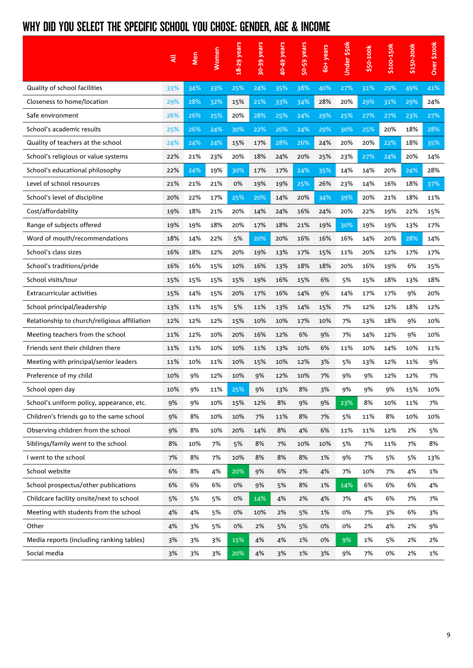### WHY DID YOU SELECT THE SPECIFIC SCHOOL YOU CHOSE: GENDER, AGE & INCOME

|                                              | ₹   | Men | <b>Women</b> | 18-29 years | 30-39 years | 40-49 years | 50-59 years | 60+ years | Under \$50k | \$50-100k | \$100-150k | \$150-200k | Over \$200k |
|----------------------------------------------|-----|-----|--------------|-------------|-------------|-------------|-------------|-----------|-------------|-----------|------------|------------|-------------|
| Quality of school facilities                 | 33% | 34% | 33%          | 25%         | 24%         | 35%         | 38%         | 40%       | 27%         | 31%       | 29%        | 49%        | 41%         |
| Closeness to home/location                   | 29% | 28% | 32%          | 15%         | 21%         | 33%         | 34%         | 28%       | 20%         | 29%       | 31%        | 29%        | 24%         |
| Safe environment                             | 26% | 26% | 25%          | 20%         | 28%         | 25%         | 24%         | 29%       | 25%         | 27%       | 27%        | 23%        | 27%         |
| School's academic results                    | 25% | 26% | 24%          | 30%         | 22%         | 26%         | 24%         | 29%       | 30%         | 25%       | 20%        | 18%        | 28%         |
| Quality of teachers at the school            | 24% | 24% | 24%          | 15%         | 17%         | 28%         | 26%         | 24%       | 20%         | 20%       | 22%        | 18%        | 35%         |
| School's religious or value systems          | 22% | 21% | 23%          | 20%         | 18%         | 24%         | 20%         | 25%       | 23%         | 27%       | 24%        | 20%        | 14%         |
| School's educational philosophy              | 22% | 24% | 19%          | 30%         | 17%         | 17%         | 24%         | 35%       | 14%         | 14%       | 20%        | 24%        | 28%         |
| Level of school resources                    | 21% | 21% | 21%          | 0%          | 19%         | 19%         | 25%         | 26%       | 23%         | 14%       | 16%        | 18%        | 37%         |
| School's level of discipline                 | 20% | 22% | 17%          | 25%         | 20%         | 14%         | 20%         | 34%       | 39%         | 20%       | 21%        | 18%        | 11%         |
| Cost/affordability                           | 19% | 18% | 21%          | 20%         | 14%         | 24%         | 16%         | 24%       | 20%         | 22%       | 19%        | 22%        | 15%         |
| Range of subjects offered                    | 19% | 19% | 18%          | 20%         | 17%         | 18%         | 21%         | 19%       | 30%         | 19%       | 19%        | 13%        | 17%         |
| Word of mouth/recommendations                | 18% | 14% | 22%          | 5%          | 20%         | 20%         | 16%         | 16%       | 16%         | 14%       | 20%        | 28%        | 14%         |
| School's class sizes                         | 16% | 18% | 12%          | 20%         | 19%         | 13%         | 17%         | 15%       | 11%         | 20%       | 12%        | 17%        | 17%         |
| School's traditions/pride                    |     | 16% | 15%          | 10%         | 16%         | 13%         | 18%         | 18%       | 20%         | 16%       | 19%        | 6%         | 15%         |
| School visits/tour                           | 15% | 15% | 15%          | 15%         | 19%         | 16%         | 15%         | 6%        | 5%          | 15%       | 18%        | 13%        | 18%         |
| <b>Extracurricular activities</b>            | 15% | 14% | 15%          | 20%         | 17%         | 16%         | 14%         | 9%        | 14%         | 17%       | 17%        | 9%         | 20%         |
| School principal/leadership                  | 13% | 11% | 15%          | 5%          | 11%         | 13%         | 14%         | 15%       | 7%          | 12%       | 12%        | 18%        | 12%         |
| Relationship to church/religious affiliation | 12% | 12% | 12%          | 15%         | 10%         | 10%         | 17%         | 10%       | 7%          | 13%       | 18%        | 9%         | 10%         |
| Meeting teachers from the school             | 11% | 12% | 10%          | 20%         | 16%         | 12%         | 6%          | 9%        | 7%          | 14%       | 12%        | 9%         | 10%         |
| Friends sent their children there            | 11% | 11% | 10%          | 10%         | 11%         | 13%         | 10%         | 6%        | 11%         | 10%       | 14%        | 10%        | 11%         |
| Meeting with principal/senior leaders        | 11% | 10% | 11%          | 10%         | 15%         | 10%         | 12%         | 3%        | 5%          | 13%       | 12%        | 11%        | 9%          |
| Preference of my child                       | 10% | 9%  | 12%          | 10%         | 9%          | 12%         | 10%         | 7%        | 9%          | 9%        | 12%        | 12%        | 7%          |
| School open day                              | 10% | 9%  | 11%          | 25%         | 9%          | 13%         | 8%          | 3%        | 9%          | 9%        | 9%         | 15%        | 10%         |
| School's uniform policy, appearance, etc.    | 9%  | 9%  | 10%          | 15%         | 12%         | 8%          | 9%          | 9%        | 23%         | 8%        | 10%        | 11%        | 7%          |
| Children's friends go to the same school     | 9%  | 8%  | 10%          | 10%         | 7%          | 11%         | 8%          | 7%        | 5%          | 11%       | 8%         | 10%        | 10%         |
| Observing children from the school           | 9%  | 8%  | 10%          | 20%         | 14%         | 8%          | 4%          | 6%        | 11%         | 11%       | 12%        | 2%         | 5%          |
| Siblings/family went to the school           | 8%  | 10% | 7%           | 5%          | 8%          | 7%          | 10%         | 10%       | 5%          | 7%        | 11%        | 7%         | 8%          |
| I went to the school                         | 7%  | 8%  | 7%           | 10%         | 8%          | 8%          | 8%          | 1%        | 9%          | 7%        | 5%         | 5%         | 13%         |
| School website                               | 6%  | 8%  | 4%           | 20%         | 9%          | 6%          | 2%          | 4%        | 7%          | 10%       | 7%         | 4%         | 1%          |
| School prospectus/other publications         | 6%  | 6%  | 6%           | 0%          | 9%          | 5%          | 8%          | 1%        | 14%         | 6%        | 6%         | 6%         | 4%          |
| Childcare facility onsite/next to school     | 5%  | 5%  | 5%           | 0%          | 14%         | 4%          | 2%          | 4%        | 7%          | 4%        | 6%         | 7%         | 7%          |
| Meeting with students from the school        | 4%  | 4%  | 5%           | 0%          | 10%         | 2%          | 5%          | 1%        | 0%          | 7%        | 3%         | 6%         | 3%          |
| Other                                        | 4%  | 3%  | 5%           | 0%          | 2%          | 5%          | 5%          | 0%        | 0%          | 2%        | 4%         | 2%         | 9%          |
| Media reports (including ranking tables)     | 3%  | 3%  | 3%           | 15%         | 4%          | 4%          | 1%          | 0%        | 9%          | 1%        | 5%         | 2%         | 2%          |
| Social media                                 | 3%  | 3%  | 3%           | 20%         | 4%          | 3%          | 1%          | 3%        | 9%          | 7%        | 0%         | 2%         | 1%          |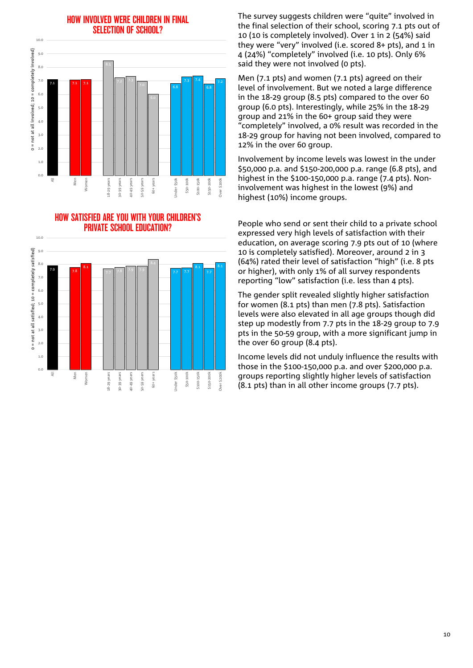#### HOW INVOLVED WERE CHILDREN IN FINAL SELECTION OF SCHOOL?



HOW SATISFIED ARE YOU WITH YOUR CHILDREN'S PRIVATE SCHOOL EDUCATION?



The survey suggests children were "quite" involved in the final selection of their school, scoring 7.1 pts out of 10 (10 is completely involved). Over 1 in 2 (54%) said they were "very" involved (i.e. scored 8+ pts), and 1 in 4 (24%) "completely" involved (i.e. 10 pts). Only 6% said they were not involved (0 pts).

Men (7.1 pts) and women (7.1 pts) agreed on their level of involvement. But we noted a large difference in the 18-29 group (8.5 pts) compared to the over 60 group (6.0 pts). Interestingly, while 25% in the 18-29 group and 21% in the 60+ group said they were "completely" involved, a 0% result was recorded in the 18-29 group for having not been involved, compared to 12% in the over 60 group.

Involvement by income levels was lowest in the under \$50,000 p.a. and \$150-200,000 p.a. range (6.8 pts), and highest in the \$100-150,000 p.a. range (7.4 pts). Noninvolvement was highest in the lowest (9%) and highest (10%) income groups.

People who send or sent their child to a private school expressed very high levels of satisfaction with their education, on average scoring 7.9 pts out of 10 (where 10 is completely satisfied). Moreover, around 2 in 3 (64%) rated their level of satisfaction "high" (i.e. 8 pts or higher), with only 1% of all survey respondents reporting "low" satisfaction (i.e. less than 4 pts).

The gender split revealed slightly higher satisfaction for women (8.1 pts) than men (7.8 pts). Satisfaction levels were also elevated in all age groups though did step up modestly from 7.7 pts in the 18-29 group to 7.9 pts in the 50-59 group, with a more significant jump in the over 60 group (8.4 pts).

Income levels did not unduly influence the results with those in the \$100-150,000 p.a. and over \$200,000 p.a. groups reporting slightly higher levels of satisfaction (8.1 pts) than in all other income groups (7.7 pts).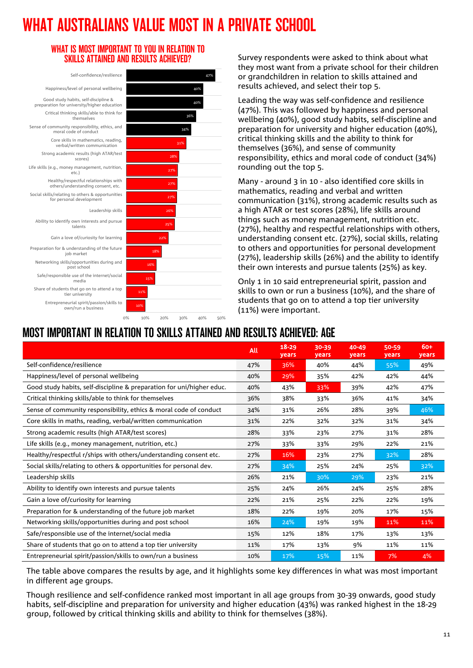# WHAT AUSTRALIANS VALUE MOST IN A PRIVATE SCHOOL

40% 40% 47%

#### WHAT IS MOST IMPORTANT TO YOU IN RELATION TO SKILLS ATTAINED AND RESULTS ACHIEVED?



Survey respondents were asked to think about what they most want from a private school for their children or grandchildren in relation to skills attained and results achieved, and select their top 5.

Leading the way was self-confidence and resilience (47%). This was followed by happiness and personal wellbeing (40%), good study habits, self-discipline and preparation for university and higher education (40%), critical thinking skills and the ability to think for themselves (36%), and sense of community responsibility, ethics and moral code of conduct (34%) rounding out the top 5.

Many - around 3 in 10 - also identified core skills in mathematics, reading and verbal and written communication (31%), strong academic results such as a high ATAR or test scores (28%), life skills around things such as money management, nutrition etc. (27%), healthy and respectful relationships with others, understanding consent etc. (27%), social skills, relating to others and opportunities for personal development (27%), leadership skills (26%) and the ability to identify their own interests and pursue talents (25%) as key.

Only 1 in 10 said entrepreneurial spirit, passion and skills to own or run a business (10%), and the share of students that go on to attend a top tier university (11%) were important.

### MOST IMPORTANT IN RELATION TO SKILLS ATTAINED AND RESULTS ACHIEVED: AGE

|                                                                       | All | $18 - 29$<br>years | 30-39<br>years | 40-49<br>years | 50-59<br>years | $60+$<br>years |
|-----------------------------------------------------------------------|-----|--------------------|----------------|----------------|----------------|----------------|
| Self-confidence/resilience                                            | 47% | 36%                | 40%            | 44%            | 55%            | 49%            |
| Happiness/level of personal wellbeing                                 | 40% | 29%                | 35%            | 42%            | 42%            | 44%            |
| Good study habits, self-discipline & preparation for uni/higher educ. | 40% | 43%                | 33%            | 39%            | 42%            | 47%            |
| Critical thinking skills/able to think for themselves                 | 36% | 38%                | 33%            | 36%            | 41%            | 34%            |
| Sense of community responsibility, ethics & moral code of conduct     | 34% | 31%                | 26%            | 28%            | 39%            | 46%            |
| Core skills in maths, reading, verbal/written communication           | 31% | 22%                | 32%            | 32%            | 31%            | 34%            |
| Strong academic results (high ATAR/test scores)                       | 28% | 33%                | 23%            | 27%            | 31%            | 28%            |
| Life skills (e.g., money management, nutrition, etc.)                 | 27% | 33%                | 33%            | 29%            | 22%            | 21%            |
| Healthy/respectful r/ships with others/understanding consent etc.     | 27% | 16%                | 23%            | 27%            | $32\%$         | 28%            |
| Social skills/relating to others & opportunities for personal dev.    | 27% | 34%                | 25%            | 24%            | 25%            | 32%            |
| Leadership skills                                                     | 26% | 21%                | 30%            | 29%            | 23%            | 21%            |
| Ability to identify own interests and pursue talents                  | 25% | 24%                | 26%            | 24%            | 25%            | 28%            |
| Gain a love of/curiosity for learning                                 | 22% | 21%                | 25%            | 22%            | 22%            | 19%            |
| Preparation for & understanding of the future job market              | 18% | 22%                | 19%            | 20%            | 17%            | 15%            |
| Networking skills/opportunities during and post school                | 16% | 24%                | 19%            | 19%            | 11%            | 11%            |
| Safe/responsible use of the internet/social media                     | 15% | 12%                | 18%            | 17%            | 13%            | 13%            |
| Share of students that go on to attend a top tier university          | 11% | 17%                | 13%            | 9%             | 11%            | 11%            |
| Entrepreneurial spirit/passion/skills to own/run a business           | 10% | 17%                | 15%            | 11%            | 7%             | 4%             |

The table above compares the results by age, and it highlights some key differences in what was most important in different age groups.

Though resilience and self-confidence ranked most important in all age groups from 30-39 onwards, good study habits, self-discipline and preparation for university and higher education (43%) was ranked highest in the 18-29 group, followed by critical thinking skills and ability to think for themselves (38%).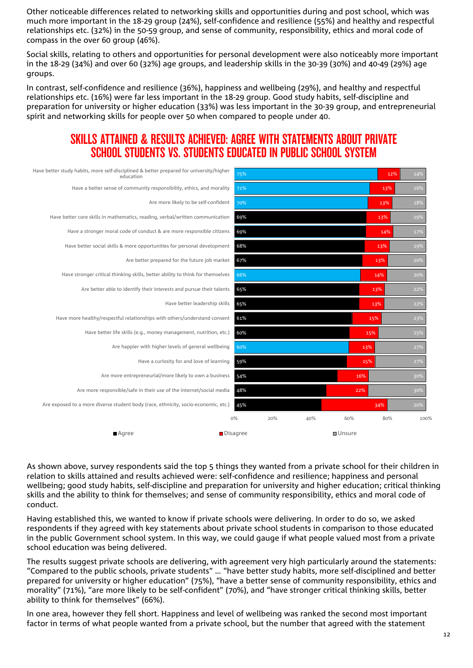Other noticeable differences related to networking skills and opportunities during and post school, which was much more important in the 18-29 group (24%), self-confidence and resilience (55%) and healthy and respectful relationships etc. (32%) in the 50-59 group, and sense of community, responsibility, ethics and moral code of compass in the over 60 group (46%).

Social skills, relating to others and opportunities for personal development were also noticeably more important in the 18-29 (34%) and over 60 (32%) age groups, and leadership skills in the 30-39 (30%) and 40-49 (29%) age groups.

In contrast, self-confidence and resilience (36%), happiness and wellbeing (29%), and healthy and respectful relationships etc. (16%) were far less important in the 18-29 group. Good study habits, self-discipline and preparation for university or higher education (33%) was less important in the 30-39 group, and entrepreneurial spirit and networking skills for people over 50 when compared to people under 40.

### SKILLS ATTAINED & RESULTS ACHIEVED: AGREE WITH STATEMENTS ABOUT PRIVATE SCHOOL STUDENTS VS. STUDENTS EDUCATED IN PUBLIC SCHOOL SYSTEM

| Have better study habits, more self-disciplined & better prepared for university/higher<br>education | 75% |     |     |               | 12% | 14%  |
|------------------------------------------------------------------------------------------------------|-----|-----|-----|---------------|-----|------|
| Have a better sense of community responsibility, ethics, and morality                                | 71% |     |     |               | 13% | 16%  |
| Are more likely to be self-confident                                                                 | 70% |     |     |               | 13% | 18%  |
| Have better core skills in mathematics, reading, verbal/written communication                        | 69% |     |     |               | 13% | 19%  |
| Have a stronger moral code of conduct & are more responsible citizens                                | 69% |     |     |               | 14% | 17%  |
| Have better social skills & more opportunities for personal development                              | 68% |     |     |               | 13% | 19%  |
| Are better prepared for the future job market                                                        | 67% |     |     |               | 13% | 20%  |
| Have stronger critical thinking skills, better ability to think for themselves                       | 66% |     |     |               | 14% | 20%  |
| Are better able to identify their interests and pursue their talents                                 | 65% |     |     |               | 13% | 22%  |
| Have better leadership skills                                                                        | 65% |     |     |               | 13% | 22%  |
| Have more healthy/respectful relationships with others/understand consent                            | 61% |     |     |               | 15% | 23%  |
| Have better life skills (e.g., money management, nutrition, etc.)                                    | 60% |     |     |               | 15% | 25%  |
| Are happier with higher levels of general wellbeing                                                  | 60% |     |     | 13%           |     | 27%  |
| Have a curiosity for and love of learning                                                            | 59% |     |     |               | 15% | 27%  |
| Are more entrepreneurial/more likely to own a business                                               | 54% |     |     | 16%           |     | 30%  |
| Are more responsible/safe in their use of the internet/social media                                  | 48% |     |     | 22%           |     | 30%  |
| Are exposed to a more diverse student body (race, ethnicity, socio-economic, etc.)                   | 45% |     |     |               | 34% | 20%  |
|                                                                                                      | O%  | 20% | 40% | 60%           | 80% | 100% |
| $A$ qree<br>Disagree                                                                                 |     |     |     | <b>Unsure</b> |     |      |

As shown above, survey respondents said the top 5 things they wanted from a private school for their children in relation to skills attained and results achieved were: self-confidence and resilience; happiness and personal wellbeing; good study habits, self-discipline and preparation for university and higher education; critical thinking skills and the ability to think for themselves; and sense of community responsibility, ethics and moral code of conduct.

Having established this, we wanted to know if private schools were delivering. In order to do so, we asked respondents if they agreed with key statements about private school students in comparison to those educated in the public Government school system. In this way, we could gauge if what people valued most from a private school education was being delivered.

The results suggest private schools are delivering, with agreement very high particularly around the statements: "Compared to the public schools, private students" … "have better study habits, more self-disciplined and better prepared for university or higher education" (75%), "have a better sense of community responsibility, ethics and morality" (71%), "are more likely to be self-confident" (70%), and "have stronger critical thinking skills, better ability to think for themselves" (66%).

In one area, however they fell short. Happiness and level of wellbeing was ranked the second most important factor in terms of what people wanted from a private school, but the number that agreed with the statement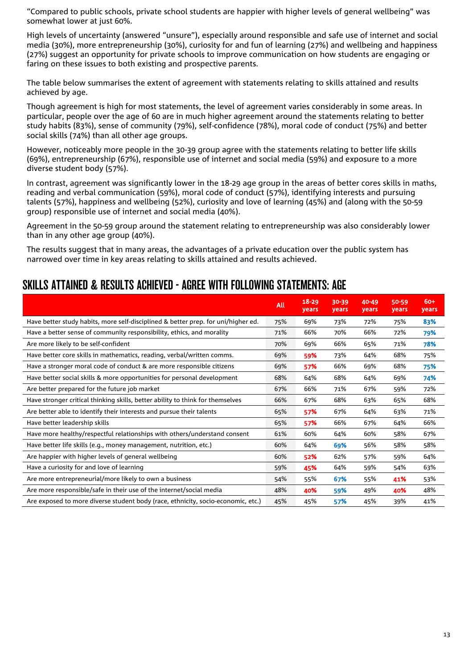"Compared to public schools, private school students are happier with higher levels of general wellbeing" was somewhat lower at just 60%.

High levels of uncertainty (answered "unsure"), especially around responsible and safe use of internet and social media (30%), more entrepreneurship (30%), curiosity for and fun of learning (27%) and wellbeing and happiness (27%) suggest an opportunity for private schools to improve communication on how students are engaging or faring on these issues to both existing and prospective parents.

The table below summarises the extent of agreement with statements relating to skills attained and results achieved by age.

Though agreement is high for most statements, the level of agreement varies considerably in some areas. In particular, people over the age of 60 are in much higher agreement around the statements relating to better study habits (83%), sense of community (79%), self-confidence (78%), moral code of conduct (75%) and better social skills (74%) than all other age groups.

However, noticeably more people in the 30-39 group agree with the statements relating to better life skills (69%), entrepreneurship (67%), responsible use of internet and social media (59%) and exposure to a more diverse student body (57%).

In contrast, agreement was significantly lower in the 18-29 age group in the areas of better cores skills in maths, reading and verbal communication (59%), moral code of conduct (57%), identifying interests and pursuing talents (57%), happiness and wellbeing (52%), curiosity and love of learning (45%) and (along with the 50-59 group) responsible use of internet and social media (40%).

Agreement in the 50-59 group around the statement relating to entrepreneurship was also considerably lower than in any other age group (40%).

The results suggest that in many areas, the advantages of a private education over the public system has narrowed over time in key areas relating to skills attained and results achieved.

### SKILLS ATTAINED & RESULTS ACHIEVED - AGREE WITH FOLLOWING STATEMENTS: AGE

|                                                                                   | All | $18 - 29$<br>years | 30-39<br>years | 40-49<br>years | 50-59<br>years | $60+$<br>years |
|-----------------------------------------------------------------------------------|-----|--------------------|----------------|----------------|----------------|----------------|
| Have better study habits, more self-disciplined & better prep. for uni/higher ed. | 75% | 69%                | 73%            | 72%            | 75%            | 83%            |
| Have a better sense of community responsibility, ethics, and morality             | 71% | 66%                | 70%            | 66%            | 72%            | 79%            |
| Are more likely to be self-confident                                              | 70% | 69%                | 66%            | 65%            | 71%            | 78%            |
| Have better core skills in mathematics, reading, verbal/written comms.            | 69% | 59%                | 73%            | 64%            | 68%            | 75%            |
| Have a stronger moral code of conduct & are more responsible citizens             | 69% | 57%                | 66%            | 69%            | 68%            | 75%            |
| Have better social skills & more opportunities for personal development           | 68% | 64%                | 68%            | 64%            | 69%            | 74%            |
| Are better prepared for the future job market                                     | 67% | 66%                | 71%            | 67%            | 59%            | 72%            |
| Have stronger critical thinking skills, better ability to think for themselves    | 66% | 67%                | 68%            | 63%            | 65%            | 68%            |
| Are better able to identify their interests and pursue their talents              | 65% | 57%                | 67%            | 64%            | 63%            | 71%            |
| Have better leadership skills                                                     | 65% | 57%                | 66%            | 67%            | 64%            | 66%            |
| Have more healthy/respectful relationships with others/understand consent         | 61% | 60%                | 64%            | 60%            | 58%            | 67%            |
| Have better life skills (e.g., money management, nutrition, etc.)                 | 60% | 64%                | 69%            | 56%            | 58%            | 58%            |
| Are happier with higher levels of general wellbeing                               | 60% | 52%                | 62%            | 57%            | 59%            | 64%            |
| Have a curiosity for and love of learning                                         | 59% | 45%                | 64%            | 59%            | 54%            | 63%            |
| Are more entrepreneurial/more likely to own a business                            | 54% | 55%                | 67%            | 55%            | 41%            | 53%            |
| Are more responsible/safe in their use of the internet/social media               | 48% | 40%                | 59%            | 49%            | 40%            | 48%            |
| Are exposed to more diverse student body (race, ethnicity, socio-economic, etc.)  | 45% | 45%                | 57%            | 45%            | 39%            | 41%            |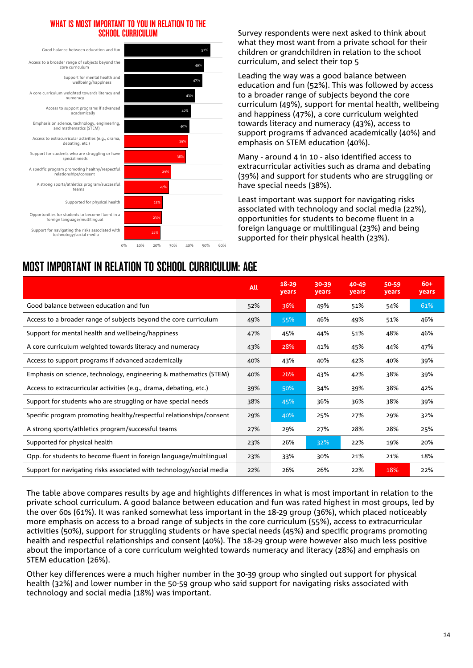#### WHAT IS MOST IMPORTANT TO YOU IN RELATION TO THE SCHOOL CURRICULUM



Survey respondents were next asked to think about what they most want from a private school for their children or grandchildren in relation to the school curriculum, and select their top 5

Leading the way was a good balance between education and fun (52%). This was followed by access to a broader range of subjects beyond the core curriculum (49%), support for mental health, wellbeing and happiness (47%), a core curriculum weighted towards literacy and numeracy (43%), access to support programs if advanced academically (40%) and emphasis on STEM education (40%).

Many - around 4 in 10 - also identified access to extracurricular activities such as drama and debating (39%) and support for students who are struggling or have special needs (38%).

Least important was support for navigating risks associated with technology and social media (22%), opportunities for students to become fluent in a foreign language or multilingual (23%) and being supported for their physical health (23%).

| MUJI IMI UILIANI IN ILLEATIUN TU JUHUUL UUHHUULUM. AUL               |            |                    |                |                |                |              |  |  |  |  |  |
|----------------------------------------------------------------------|------------|--------------------|----------------|----------------|----------------|--------------|--|--|--|--|--|
|                                                                      | <b>All</b> | $18 - 29$<br>years | 30-39<br>years | 40-49<br>years | 50-59<br>years | 60+<br>years |  |  |  |  |  |
| Good balance between education and fun                               | 52%        | 36%                | 49%            | 51%            | 54%            | 61%          |  |  |  |  |  |
| Access to a broader range of subjects beyond the core curriculum     | 49%        | 55%                | 46%            | 49%            | 51%            | 46%          |  |  |  |  |  |
| Support for mental health and wellbeing/happiness                    | 47%        | 45%                | 44%            | 51%            | 48%            | 46%          |  |  |  |  |  |
| A core curriculum weighted towards literacy and numeracy             | 43%        | 28%                | 41%            | 45%            | 44%            | 47%          |  |  |  |  |  |
| Access to support programs if advanced academically                  | 40%        | 43%                | 40%            | 42%            | 40%            | 39%          |  |  |  |  |  |
| Emphasis on science, technology, engineering & mathematics (STEM)    | 40%        | 26%                | 43%            | 42%            | 38%            | 39%          |  |  |  |  |  |
| Access to extracurricular activities (e.g., drama, debating, etc.)   | 39%        | 50%                | 34%            | 39%            | 38%            | 42%          |  |  |  |  |  |
| Support for students who are struggling or have special needs        | 38%        | 45%                | 36%            | 36%            | 38%            | 39%          |  |  |  |  |  |
| Specific program promoting healthy/respectful relationships/consent  | 29%        | 40%                | 25%            | 27%            | 29%            | 32%          |  |  |  |  |  |
| A strong sports/athletics program/successful teams                   | 27%        | 29%                | 27%            | 28%            | 28%            | 25%          |  |  |  |  |  |
| Supported for physical health                                        | 23%        | 26%                | 32%            | 22%            | 19%            | 20%          |  |  |  |  |  |
| Opp. for students to become fluent in foreign language/multilingual  | 23%        | 33%                | 30%            | 21%            | 21%            | 18%          |  |  |  |  |  |
| Support for navigating risks associated with technology/social media | 22%        | 26%                | 26%            | 22%            | 18%            | 22%          |  |  |  |  |  |

The table above compares results by age and highlights differences in what is most important in relation to the private school curriculum. A good balance between education and fun was rated highest in most groups, led by the over 60s (61%). It was ranked somewhat less important in the 18-29 group (36%), which placed noticeably more emphasis on access to a broad range of subjects in the core curriculum (55%), access to extracurricular activities (50%), support for struggling students or have special needs (45%) and specific programs promoting health and respectful relationships and consent (40%). The 18-29 group were however also much less positive about the importance of a core curriculum weighted towards numeracy and literacy (28%) and emphasis on STEM education (26%).

Other key differences were a much higher number in the 30-39 group who singled out support for physical health (32%) and lower number in the 50-59 group who said support for navigating risks associated with technology and social media (18%) was important.

### MOST IMPORTANT IN RELATION TO SCHOOL CURRICULUM: AGE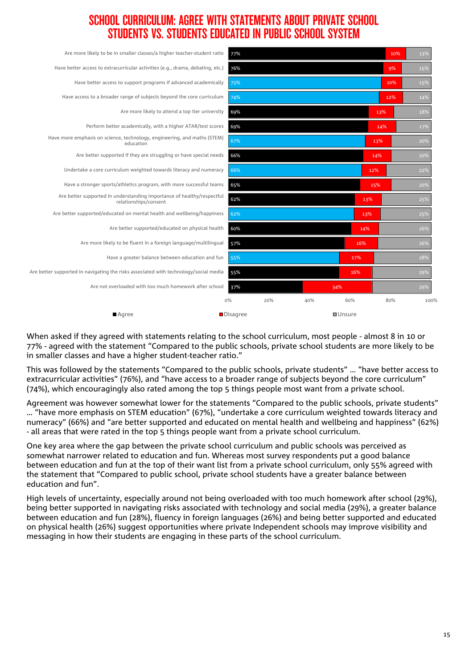### SCHOOL CURRICULUM: AGREE WITH STATEMENTS ABOUT PRIVATE SCHOOL STUDENTS VS. STUDENTS EDUCATED IN PUBLIC SCHOOL SYSTEM

| Are more likely to be in smaller classes/a higher teacher-student ratio                         | 77%      |     |     |               | 10% | 13%  |
|-------------------------------------------------------------------------------------------------|----------|-----|-----|---------------|-----|------|
| Have better access to extracurricular activities (e.g., drama, debating, etc.)                  | 76%      |     |     |               | 9%  | 15%  |
| Have better access to support programs if advanced academically                                 | 75%      |     |     |               | 10% | 15%  |
| Have access to a broader range of subjects beyond the core curriculum                           | 74%      |     |     |               | 12% | 14%  |
| Are more likely to attend a top tier university                                                 | 69%      |     |     | 13%           |     | 18%  |
| Perform better academically, with a higher ATAR/test scores                                     | 69%      |     |     | 14%           |     | 17%  |
| Have more emphasis on science, technology, engineering, and maths (STEM)<br>education           | 67%      |     |     | 13%           |     | 20%  |
| Are better supported if they are struggling or have special needs                               | 66%      |     |     | 14%           |     | 20%  |
| Undertake a core curriculum weighted towards literacy and numeracy                              | 66%      |     |     | 12%           |     | 22%  |
| Have a stronger sports/athletics program, with more successful teams                            | 65%      |     |     | 15%           |     | 20%  |
| Are better supported in understanding importance of healthy/respectful<br>relationships/consent | 62%      |     |     | 13%           |     | 25%  |
| Are better supported/educated on mental health and wellbeing/happiness                          | 62%      |     |     | 13%           |     | 25%  |
| Are better supported/educated on physical health                                                | 60%      |     |     | 14%           |     | 26%  |
| Are more likely to be fluent in a foreign language/multilingual                                 | 57%      |     |     | 16%           |     | 26%  |
| Have a greater balance between education and fun                                                | 55%      |     |     | 17%           |     | 28%  |
| Are better supported in navigating the risks associated with technology/social media            | 55%      |     |     | 16%           |     | 29%  |
| Are not overloaded with too much homework after school                                          | 37%      |     | 34% |               |     | 29%  |
|                                                                                                 | 0%       | 20% | 40% | 60%           | 80% | 100% |
| $A$ qree                                                                                        | Disagree |     |     | <b>Unsure</b> |     |      |

When asked if they agreed with statements relating to the school curriculum, most people - almost 8 in 10 or 77% - agreed with the statement "Compared to the public schools, private school students are more likely to be in smaller classes and have a higher student-teacher ratio."

This was followed by the statements "Compared to the public schools, private students" … "have better access to extracurricular activities" (76%), and "have access to a broader range of subjects beyond the core curriculum" (74%), which encouragingly also rated among the top 5 things people most want from a private school.

Agreement was however somewhat lower for the statements "Compared to the public schools, private students" … "have more emphasis on STEM education" (67%), "undertake a core curriculum weighted towards literacy and numeracy" (66%) and "are better supported and educated on mental health and wellbeing and happiness" (62%) - all areas that were rated in the top 5 things people want from a private school curriculum.

One key area where the gap between the private school curriculum and public schools was perceived as somewhat narrower related to education and fun. Whereas most survey respondents put a good balance between education and fun at the top of their want list from a private school curriculum, only 55% agreed with the statement that "Compared to public school, private school students have a greater balance between education and fun".

High levels of uncertainty, especially around not being overloaded with too much homework after school (29%), being better supported in navigating risks associated with technology and social media (29%), a greater balance between education and fun (28%), fluency in foreign languages (26%) and being better supported and educated on physical health (26%) suggest opportunities where private Independent schools may improve visibility and messaging in how their students are engaging in these parts of the school curriculum.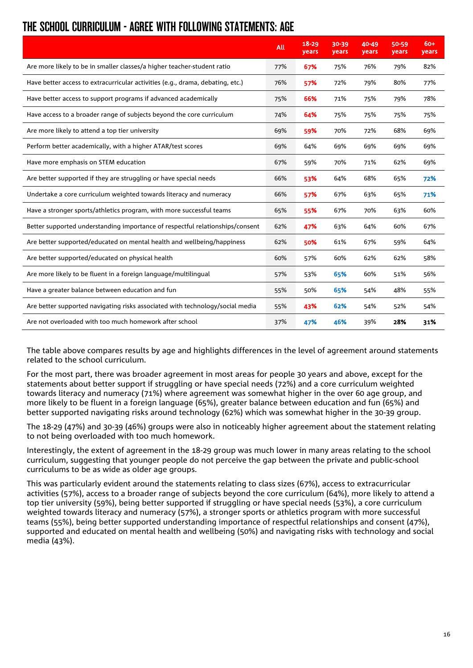### THE SCHOOL CURRICULUM - AGREE WITH FOLLOWING STATEMENTS: AGE

|                                                                                | All | $18 - 29$<br>years | 30-39<br>years | 40-49<br>years | 50-59<br>years | $60+$<br>years |
|--------------------------------------------------------------------------------|-----|--------------------|----------------|----------------|----------------|----------------|
| Are more likely to be in smaller classes/a higher teacher-student ratio        | 77% | 67%                | 75%            | 76%            | 79%            | 82%            |
| Have better access to extracurricular activities (e.g., drama, debating, etc.) | 76% | 57%                | 72%            | 79%            | 80%            | 77%            |
| Have better access to support programs if advanced academically                | 75% | 66%                | 71%            | 75%            | 79%            | 78%            |
| Have access to a broader range of subjects beyond the core curriculum          | 74% | 64%                | 75%            | 75%            | 75%            | 75%            |
| Are more likely to attend a top tier university                                | 69% | 59%                | 70%            | 72%            | 68%            | 69%            |
| Perform better academically, with a higher ATAR/test scores                    | 69% | 64%                | 69%            | 69%            | 69%            | 69%            |
| Have more emphasis on STEM education                                           | 67% | 59%                | 70%            | 71%            | 62%            | 69%            |
| Are better supported if they are struggling or have special needs              | 66% | 53%                | 64%            | 68%            | 65%            | 72%            |
| Undertake a core curriculum weighted towards literacy and numeracy             | 66% | 57%                | 67%            | 63%            | 65%            | 71%            |
| Have a stronger sports/athletics program, with more successful teams           | 65% | 55%                | 67%            | 70%            | 63%            | 60%            |
| Better supported understanding importance of respectful relationships/consent  | 62% | 47%                | 63%            | 64%            | 60%            | 67%            |
| Are better supported/educated on mental health and wellbeing/happiness         | 62% | 50%                | 61%            | 67%            | 59%            | 64%            |
| Are better supported/educated on physical health                               | 60% | 57%                | 60%            | 62%            | 62%            | 58%            |
| Are more likely to be fluent in a foreign language/multilingual                | 57% | 53%                | 65%            | 60%            | 51%            | 56%            |
| Have a greater balance between education and fun                               | 55% | 50%                | 65%            | 54%            | 48%            | 55%            |
| Are better supported navigating risks associated with technology/social media  | 55% | 43%                | 62%            | 54%            | 52%            | 54%            |
| Are not overloaded with too much homework after school                         | 37% | 47%                | 46%            | 39%            | 28%            | 31%            |

The table above compares results by age and highlights differences in the level of agreement around statements related to the school curriculum.

For the most part, there was broader agreement in most areas for people 30 years and above, except for the statements about better support if struggling or have special needs (72%) and a core curriculum weighted towards literacy and numeracy (71%) where agreement was somewhat higher in the over 60 age group, and more likely to be fluent in a foreign language (65%), greater balance between education and fun (65%) and better supported navigating risks around technology (62%) which was somewhat higher in the 30-39 group.

The 18-29 (47%) and 30-39 (46%) groups were also in noticeably higher agreement about the statement relating to not being overloaded with too much homework.

Interestingly, the extent of agreement in the 18-29 group was much lower in many areas relating to the school curriculum, suggesting that younger people do not perceive the gap between the private and public-school curriculums to be as wide as older age groups.

This was particularly evident around the statements relating to class sizes (67%), access to extracurricular activities (57%), access to a broader range of subjects beyond the core curriculum (64%), more likely to attend a top tier university (59%), being better supported if struggling or have special needs (53%), a core curriculum weighted towards literacy and numeracy (57%), a stronger sports or athletics program with more successful teams (55%), being better supported understanding importance of respectful relationships and consent (47%), supported and educated on mental health and wellbeing (50%) and navigating risks with technology and social media (43%).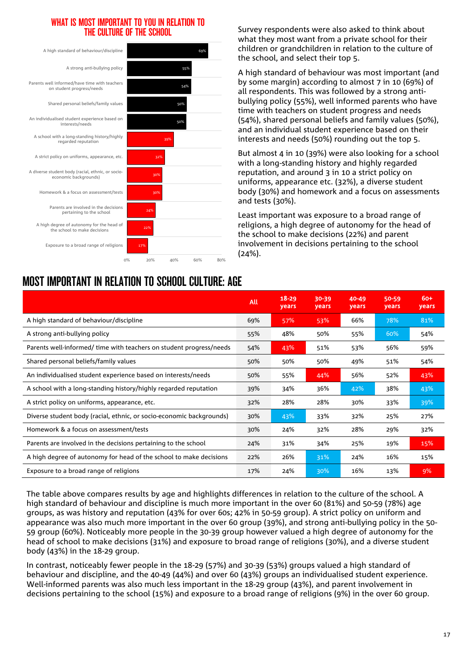#### WHAT IS MOST IMPORTANT TO YOU IN RELATION TO THE CULTURE OF THE SCHOOL



Survey respondents were also asked to think about what they most want from a private school for their children or grandchildren in relation to the culture of the school, and select their top 5.

A high standard of behaviour was most important (and by some margin) according to almost 7 in 10 (69%) of all respondents. This was followed by a strong antibullying policy (55%), well informed parents who have time with teachers on student progress and needs (54%), shared personal beliefs and family values (50%), and an individual student experience based on their interests and needs (50%) rounding out the top 5.

But almost 4 in 10 (39%) were also looking for a school with a long-standing history and highly regarded reputation, and around 3 in 10 a strict policy on uniforms, appearance etc. (32%), a diverse student body (30%) and homework and a focus on assessments and tests (30%).

Least important was exposure to a broad range of religions, a high degree of autonomy for the head of the school to make decisions (22%) and parent involvement in decisions pertaining to the school (24%).

|                                                                      | All | $18 - 29$<br>years | 30-39<br>years | 40-49<br>years | 50-59<br>years | $60+$<br>years |
|----------------------------------------------------------------------|-----|--------------------|----------------|----------------|----------------|----------------|
| A high standard of behaviour/discipline                              | 69% | 57%                | 53%            | 66%            | 78%            | 81%            |
| A strong anti-bullying policy                                        | 55% | 48%                | 50%            | 55%            | 60%            | 54%            |
| Parents well-informed/ time with teachers on student progress/needs  | 54% | 43%                | 51%            | 53%            | 56%            | 59%            |
| Shared personal beliefs/family values                                | 50% | 50%                | 50%            | 49%            | 51%            | 54%            |
| An individualised student experience based on interests/needs        | 50% | 55%                | 44%            | 56%            | 52%            | 43%            |
| A school with a long-standing history/highly regarded reputation     | 39% | 34%                | 36%            | 42%            | 38%            | 43%            |
| A strict policy on uniforms, appearance, etc.                        | 32% | 28%                | 28%            | 30%            | 33%            | 39%            |
| Diverse student body (racial, ethnic, or socio-economic backgrounds) | 30% | 43%                | 33%            | 32%            | 25%            | 27%            |
| Homework & a focus on assessment/tests                               | 30% | 24%                | 32%            | 28%            | 29%            | 32%            |
| Parents are involved in the decisions pertaining to the school       | 24% | 31%                | 34%            | 25%            | 19%            | 15%            |
| A high degree of autonomy for head of the school to make decisions   | 22% | 26%                | 31%            | 24%            | 16%            | 15%            |
| Exposure to a broad range of religions                               | 17% | 24%                | 30%            | 16%            | 13%            | 9%             |

The table above compares results by age and highlights differences in relation to the culture of the school. A high standard of behaviour and discipline is much more important in the over 60 (81%) and 50-59 (78%) age groups, as was history and reputation (43% for over 60s; 42% in 50-59 group). A strict policy on uniform and appearance was also much more important in the over 60 group (39%), and strong anti-bullying policy in the 50- 59 group (60%). Noticeably more people in the 30-39 group however valued a high degree of autonomy for the head of school to make decisions (31%) and exposure to broad range of religions (30%), and a diverse student body (43%) in the 18-29 group.

In contrast, noticeably fewer people in the 18-29 (57%) and 30-39 (53%) groups valued a high standard of behaviour and discipline, and the 40-49 (44%) and over 60 (43%) groups an individualised student experience. Well-informed parents was also much less important in the 18-29 group (43%), and parent involvement in decisions pertaining to the school (15%) and exposure to a broad range of religions (9%) in the over 60 group.

### MOST IMPORTANT IN RELATION TO SCHOOL CULTURE: AGE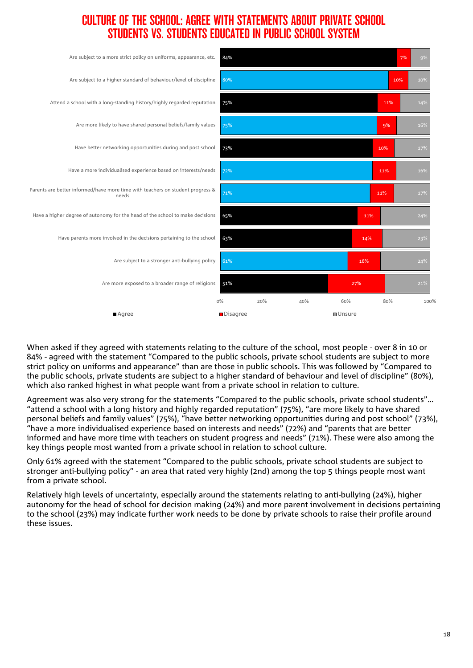### CULTURE OF THE SCHOOL: AGREE WITH STATEMENTS ABOUT PRIVATE SCHOOL STUDENTS VS. STUDENTS EDUCATED IN PUBLIC SCHOOL SYSTEM



When asked if they agreed with statements relating to the culture of the school, most people - over 8 in 10 or 84% - agreed with the statement "Compared to the public schools, private school students are subject to more strict policy on uniforms and appearance" than are those in public schools. This was followed by "Compared to the public schools, private students are subject to a higher standard of behaviour and level of discipline" (80%), which also ranked highest in what people want from a private school in relation to culture.

Agreement was also very strong for the statements "Compared to the public schools, private school students"… "attend a school with a long history and highly regarded reputation" (75%), "are more likely to have shared personal beliefs and family values" (75%), "have better networking opportunities during and post school" (73%), "have a more individualised experience based on interests and needs" (72%) and "parents that are better informed and have more time with teachers on student progress and needs" (71%). These were also among the key things people most wanted from a private school in relation to school culture.

Only 61% agreed with the statement "Compared to the public schools, private school students are subject to stronger anti-bullying policy" - an area that rated very highly (2nd) among the top 5 things people most want from a private school.

Relatively high levels of uncertainty, especially around the statements relating to anti-bullying (24%), higher autonomy for the head of school for decision making (24%) and more parent involvement in decisions pertaining to the school (23%) may indicate further work needs to be done by private schools to raise their profile around these issues.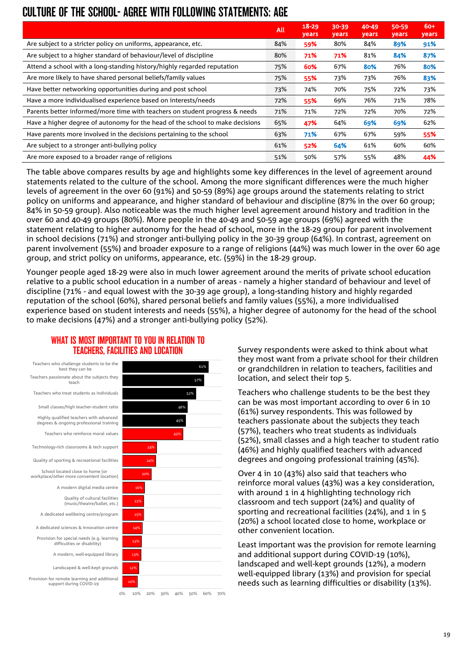### CULTURE OF THE SCHOOL- AGREE WITH FOLLOWING STATEMENTS: AGE

|                                                                               | All | $18 - 29$<br>years | $30 - 39$<br>years | 40-49<br>years | 50-59<br>years | $60+$<br>years |
|-------------------------------------------------------------------------------|-----|--------------------|--------------------|----------------|----------------|----------------|
| Are subject to a stricter policy on uniforms, appearance, etc.                | 84% | 59%                | 80%                | 84%            | 89%            | 91%            |
| Are subject to a higher standard of behaviour/level of discipline             | 80% | 71%                | 71%                | 81%            | 84%            | 87%            |
| Attend a school with a long-standing history/highly regarded reputation       | 75% | 60%                | 67%                | 80%            | 76%            | 80%            |
| Are more likely to have shared personal beliefs/family values                 | 75% | 55%                | 73%                | 73%            | 76%            | 83%            |
| Have better networking opportunities during and post school                   | 73% | 74%                | 70%                | 75%            | 72%            | 73%            |
| Have a more individualised experience based on interests/needs                | 72% | 55%                | 69%                | 76%            | 71%            | 78%            |
| Parents better informed/more time with teachers on student progress & needs   | 71% | 71%                | 72%                | 72%            | 70%            | 72%            |
| Have a higher degree of autonomy for the head of the school to make decisions | 65% | 47%                | 64%                | 69%            | 69%            | 62%            |
| Have parents more involved in the decisions pertaining to the school          | 63% | 71%                | 67%                | 67%            | 59%            | 55%            |
| Are subject to a stronger anti-bullying policy                                | 61% | 52%                | 64%                | 61%            | 60%            | 60%            |
| Are more exposed to a broader range of religions                              | 51% | 50%                | 57%                | 55%            | 48%            | 44%            |

The table above compares results by age and highlights some key differences in the level of agreement around statements related to the culture of the school. Among the more significant differences were the much higher levels of agreement in the over 60 (91%) and 50-59 (89%) age groups around the statements relating to strict policy on uniforms and appearance, and higher standard of behaviour and discipline (87% in the over 60 group; 84% in 50-59 group). Also noticeable was the much higher level agreement around history and tradition in the over 60 and 40-49 groups (80%). More people in the 40-49 and 50-59 age groups (69%) agreed with the statement relating to higher autonomy for the head of school, more in the 18-29 group for parent involvement in school decisions (71%) and stronger anti-bullying policy in the 30-39 group (64%). In contrast, agreement on parent involvement (55%) and broader exposure to a range of religions (44%) was much lower in the over 60 age group, and strict policy on uniforms, appearance, etc. (59%) in the 18-29 group.

Younger people aged 18-29 were also in much lower agreement around the merits of private school education relative to a public school education in a number of areas - namely a higher standard of behaviour and level of discipline (71% - and equal lowest with the 30-39 age group), a long-standing history and highly regarded reputation of the school (60%), shared personal beliefs and family values (55%), a more individualised experience based on student interests and needs (55%), a higher degree of autonomy for the head of the school to make decisions (47%) and a stronger anti-bullying policy (52%).

#### WHAT IS MOST IMPORTANT TO YOU IN RELATION TO TEACHERS, FACILITIES AND LOCATION





Survey respondents were asked to think about what they most want from a private school for their children or grandchildren in relation to teachers, facilities and location, and select their top 5.

Teachers who challenge students to be the best they can be was most important according to over 6 in 10 (61%) survey respondents. This was followed by teachers passionate about the subjects they teach (57%), teachers who treat students as individuals (52%), small classes and a high teacher to student ratio (46%) and highly qualified teachers with advanced degrees and ongoing professional training (45%).

Over 4 in 10 (43%) also said that teachers who reinforce moral values (43%) was a key consideration, with around 1 in 4 highlighting technology rich classroom and tech support (24%) and quality of sporting and recreational facilities (24%), and 1 in 5 (20%) a school located close to home, workplace or other convenient location.

Least important was the provision for remote learning and additional support during COVID-19 (10%), landscaped and well-kept grounds (12%), a modern well-equipped library (13%) and provision for special needs such as learning difficulties or disability (13%).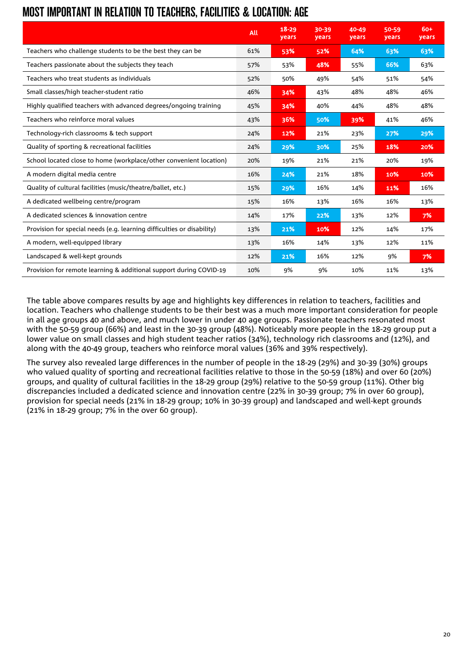|  |  |  | MOST IMPORTANT IN RELATION TO TEACHERS, FACILITIES & LOCATION: AGE |  |
|--|--|--|--------------------------------------------------------------------|--|

|                                                                        | All | $18 - 29$<br><b>years</b> | 30-39<br><b>vears</b> | 40-49<br><b>years</b> | 50-59<br><b>years</b> | 60+<br><b>vears</b> |
|------------------------------------------------------------------------|-----|---------------------------|-----------------------|-----------------------|-----------------------|---------------------|
| Teachers who challenge students to be the best they can be             | 61% | 53%                       | 52%                   | 64%                   | 63%                   | 63%                 |
| Teachers passionate about the subjects they teach                      | 57% | 53%                       | 48%                   | 55%                   | 66%                   | 63%                 |
| Teachers who treat students as individuals                             | 52% | 50%                       | 49%                   | 54%                   | 51%                   | 54%                 |
| Small classes/high teacher-student ratio                               | 46% | 34%                       | 43%                   | 48%                   | 48%                   | 46%                 |
| Highly qualified teachers with advanced degrees/ongoing training       | 45% | 34%                       | 40%                   | 44%                   | 48%                   | 48%                 |
| Teachers who reinforce moral values                                    | 43% | 36%                       | 50%                   | 39%                   | 41%                   | 46%                 |
| Technology-rich classrooms & tech support                              | 24% | 12%                       | 21%                   | 23%                   | 27%                   | 29%                 |
| Quality of sporting & recreational facilities                          | 24% | 29%                       | 30%                   | 25%                   | 18%                   | 20%                 |
| School located close to home (workplace/other convenient location)     | 20% | 19%                       | 21%                   | 21%                   | 20%                   | 19%                 |
| A modern digital media centre                                          | 16% | 24%                       | 21%                   | 18%                   | 10%                   | 10%                 |
| Quality of cultural facilities (music/theatre/ballet, etc.)            | 15% | 29%                       | 16%                   | 14%                   | 11%                   | 16%                 |
| A dedicated wellbeing centre/program                                   | 15% | 16%                       | 13%                   | 16%                   | 16%                   | 13%                 |
| A dedicated sciences & innovation centre                               | 14% | 17%                       | 22%                   | 13%                   | 12%                   | 7%                  |
| Provision for special needs (e.g. learning difficulties or disability) | 13% | 21%                       | 10%                   | 12%                   | 14%                   | 17%                 |
| A modern, well-equipped library                                        | 13% | 16%                       | 14%                   | 13%                   | 12%                   | 11%                 |
| Landscaped & well-kept grounds                                         | 12% | 21%                       | 16%                   | 12%                   | 9%                    | 7%                  |
| Provision for remote learning & additional support during COVID-19     | 10% | 9%                        | 9%                    | 10%                   | 11%                   | 13%                 |

The table above compares results by age and highlights key differences in relation to teachers, facilities and location. Teachers who challenge students to be their best was a much more important consideration for people in all age groups 40 and above, and much lower in under 40 age groups. Passionate teachers resonated most with the 50-59 group (66%) and least in the 30-39 group (48%). Noticeably more people in the 18-29 group put a lower value on small classes and high student teacher ratios (34%), technology rich classrooms and (12%), and along with the 40-49 group, teachers who reinforce moral values (36% and 39% respectively).

The survey also revealed large differences in the number of people in the 18-29 (29%) and 30-39 (30%) groups who valued quality of sporting and recreational facilities relative to those in the 50-59 (18%) and over 60 (20%) groups, and quality of cultural facilities in the 18-29 group (29%) relative to the 50-59 group (11%). Other big discrepancies included a dedicated science and innovation centre (22% in 30-39 group; 7% in over 60 group), provision for special needs (21% in 18-29 group; 10% in 30-39 group) and landscaped and well-kept grounds (21% in 18-29 group; 7% in the over 60 group).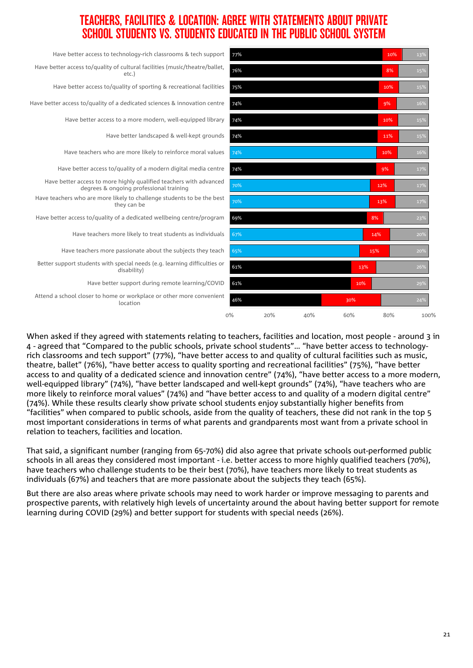### TEACHERS, FACILITIES & LOCATION: AGREE WITH STATEMENTS ABOUT PRIVATE SCHOOL STUDENTS VS. STUDENTS EDUCATED IN THE PUBLIC SCHOOL SYSTEM

| Have better access to technology-rich classrooms & tech support                                               | 77%   |     |     |     | 10% | 13%  |
|---------------------------------------------------------------------------------------------------------------|-------|-----|-----|-----|-----|------|
| Have better access to/quality of cultural facilities (music/theatre/ballet,<br>etc.)                          | 76%   |     |     |     | 8%  | 15%  |
| Have better access to/quality of sporting & recreational facilities                                           | 75%   |     |     |     | 10% | 15%  |
| Have better access to/quality of a dedicated sciences & innovation centre                                     | 74%   |     |     |     | 9%  | 16%  |
| Have better access to a more modern, well-equipped library                                                    | 74%   |     |     |     | 10% | 15%  |
| Have better landscaped & well-kept grounds                                                                    | 74%   |     |     |     | 11% | 15%  |
| Have teachers who are more likely to reinforce moral values                                                   | 74%   |     |     |     | 10% | 16%  |
| Have better access to/quality of a modern digital media centre                                                | 74%   |     |     |     | 9%  | 17%  |
| Have better access to more highly qualified teachers with advanced<br>degrees & ongoing professional training | 70%   |     |     |     | 12% | 17%  |
| Have teachers who are more likely to challenge students to be the best<br>they can be                         | 70%   |     |     |     | 13% | 17%  |
| Have better access to/quality of a dedicated wellbeing centre/program                                         | 69%   |     |     | 8%  |     | 23%  |
| Have teachers more likely to treat students as individuals                                                    | 67%   |     |     |     | 14% | 20%  |
| Have teachers more passionate about the subjects they teach                                                   | 65%   |     |     | 15% |     | 20%  |
| Better support students with special needs (e.g. learning difficulties or<br>disability)                      | 61%   |     |     | 13% |     | 26%  |
| Have better support during remote learning/COVID                                                              | 61%   |     |     | 10% |     | 29%  |
| Attend a school closer to home or workplace or other more convenient<br>location                              | 46%   |     |     | 30% |     | 24%  |
|                                                                                                               | $0\%$ | 20% | 40% | 60% | 80% | 100% |

When asked if they agreed with statements relating to teachers, facilities and location, most people - around 3 in 4 - agreed that "Compared to the public schools, private school students"… "have better access to technologyrich classrooms and tech support" (77%), "have better access to and quality of cultural facilities such as music, theatre, ballet" (76%), "have better access to quality sporting and recreational facilities" (75%), "have better access to and quality of a dedicated science and innovation centre" (74%), "have better access to a more modern, well-equipped library" (74%), "have better landscaped and well-kept grounds" (74%), "have teachers who are more likely to reinforce moral values" (74%) and "have better access to and quality of a modern digital centre" (74%). While these results clearly show private school students enjoy substantially higher benefits from "facilities" when compared to public schools, aside from the quality of teachers, these did not rank in the top 5 most important considerations in terms of what parents and grandparents most want from a private school in relation to teachers, facilities and location.

That said, a significant number (ranging from 65-70%) did also agree that private schools out-performed public schools in all areas they considered most important - i.e. better access to more highly qualified teachers (70%), have teachers who challenge students to be their best (70%), have teachers more likely to treat students as individuals (67%) and teachers that are more passionate about the subjects they teach (65%).

But there are also areas where private schools may need to work harder or improve messaging to parents and prospective parents, with relatively high levels of uncertainty around the about having better support for remote learning during COVID (29%) and better support for students with special needs (26%).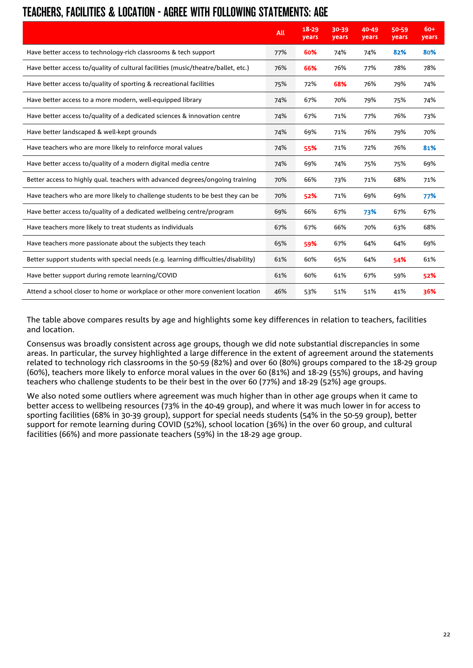### TEACHERS, FACILITIES & LOCATION - AGREE WITH FOLLOWING STATEMENTS: AGE

|                                                                                    | All | $18 - 29$<br>years | 30-39<br><b>vears</b> | 40-49<br>years | 50-59<br>years | $60+$<br>years |
|------------------------------------------------------------------------------------|-----|--------------------|-----------------------|----------------|----------------|----------------|
| Have better access to technology-rich classrooms & tech support                    | 77% | 60%                | 74%                   | 74%            | 82%            | 80%            |
| Have better access to/quality of cultural facilities (music/theatre/ballet, etc.)  | 76% | 66%                | 76%                   | 77%            | 78%            | 78%            |
| Have better access to/quality of sporting & recreational facilities                | 75% | 72%                | 68%                   | 76%            | 79%            | 74%            |
| Have better access to a more modern, well-equipped library                         | 74% | 67%                | 70%                   | 79%            | 75%            | 74%            |
| Have better access to/quality of a dedicated sciences & innovation centre          | 74% | 67%                | 71%                   | 77%            | 76%            | 73%            |
| Have better landscaped & well-kept grounds                                         | 74% | 69%                | 71%                   | 76%            | 79%            | 70%            |
| Have teachers who are more likely to reinforce moral values                        | 74% | 55%                | 71%                   | 72%            | 76%            | 81%            |
| Have better access to/quality of a modern digital media centre                     | 74% | 69%                | 74%                   | 75%            | 75%            | 69%            |
| Better access to highly qual. teachers with advanced degrees/ongoing training      | 70% | 66%                | 73%                   | 71%            | 68%            | 71%            |
| Have teachers who are more likely to challenge students to be best they can be     | 70% | 52%                | 71%                   | 69%            | 69%            | 77%            |
| Have better access to/quality of a dedicated wellbeing centre/program              | 69% | 66%                | 67%                   | 73%            | 67%            | 67%            |
| Have teachers more likely to treat students as individuals                         | 67% | 67%                | 66%                   | 70%            | 63%            | 68%            |
| Have teachers more passionate about the subjects they teach                        | 65% | 59%                | 67%                   | 64%            | 64%            | 69%            |
| Better support students with special needs (e.g. learning difficulties/disability) | 61% | 60%                | 65%                   | 64%            | 54%            | 61%            |
| Have better support during remote learning/COVID                                   | 61% | 60%                | 61%                   | 67%            | 59%            | 52%            |
| Attend a school closer to home or workplace or other more convenient location      | 46% | 53%                | 51%                   | 51%            | 41%            | 36%            |

The table above compares results by age and highlights some key differences in relation to teachers, facilities and location.

Consensus was broadly consistent across age groups, though we did note substantial discrepancies in some areas. In particular, the survey highlighted a large difference in the extent of agreement around the statements related to technology rich classrooms in the 50-59 (82%) and over 60 (80%) groups compared to the 18-29 group (60%), teachers more likely to enforce moral values in the over 60 (81%) and 18-29 (55%) groups, and having teachers who challenge students to be their best in the over 60 (77%) and 18-29 (52%) age groups.

We also noted some outliers where agreement was much higher than in other age groups when it came to better access to wellbeing resources (73% in the 40-49 group), and where it was much lower in for access to sporting facilities (68% in 30-39 group), support for special needs students (54% in the 50-59 group), better support for remote learning during COVID (52%), school location (36%) in the over 60 group, and cultural facilities (66%) and more passionate teachers (59%) in the 18-29 age group.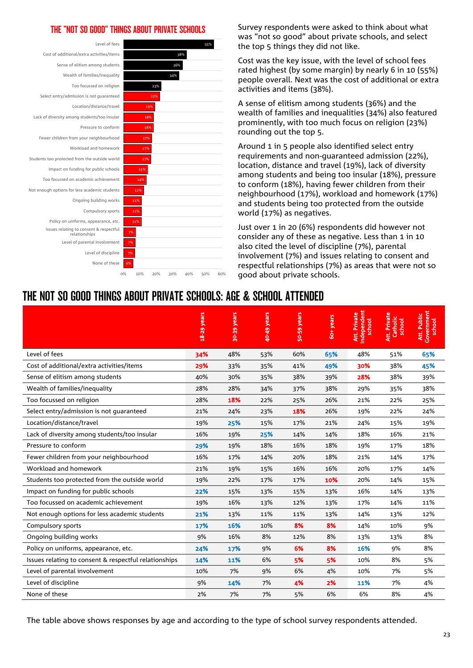#### THE "NOT SO GOOD" THINGS ABOUT PRIVATE SCHOOLS



Survey respondents were asked to think about what was "not so good" about private schools, and select the top 5 things they did not like.

Cost was the key issue, with the level of school fees rated highest (by some margin) by nearly 6 in 10 (55%) people overall. Next was the cost of additional or extra activities and items (38%).

A sense of elitism among students (36%) and the wealth of families and inequalities (34%) also featured prominently, with too much focus on religion (23%) rounding out the top 5.

Around 1 in 5 people also identified select entry requirements and non-guaranteed admission (22%), location, distance and travel (19%), lack of diversity among students and being too insular (18%), pressure to conform (18%), having fewer children from their neighbourhood (17%), workload and homework (17%) and students being too protected from the outside world (17%) as negatives.

Just over 1 in 20 (6%) respondents did however not consider any of these as negative. Less than 1 in 10 also cited the level of discipline (7%), parental involvement (7%) and issues relating to consent and respectful relationships (7%) as areas that were not so good about private schools.

### THE NOT SO GOOD THINGS ABOUT PRIVATE SCHOOLS: AGE & SCHOOL ATTENDED

|                                                       | 18-29 years | 30-39 years | 40-49 years | 50-59 years | 60+ years | Independent<br>Att. Private<br>school | Att. Private<br>Catholic<br>school | Government<br>school<br>Att. Public |
|-------------------------------------------------------|-------------|-------------|-------------|-------------|-----------|---------------------------------------|------------------------------------|-------------------------------------|
| Level of fees                                         | 34%         | 48%         | 53%         | 60%         | 65%       | 48%                                   | 51%                                | 65%                                 |
| Cost of additional/extra activities/items             | 29%         | 33%         | 35%         | 41%         | 49%       | 30%                                   | 38%                                | 45%                                 |
| Sense of elitism among students                       | 40%         | 30%         | 35%         | 38%         | 39%       | 28%                                   | 38%                                | 39%                                 |
| Wealth of families/inequality                         | 28%         | 28%         | 34%         | 37%         | 38%       | 29%                                   | 35%                                | 38%                                 |
| Too focussed on religion                              | 28%         | 18%         | 22%         | 25%         | 26%       | 21%                                   | 22%                                | 25%                                 |
| Select entry/admission is not quaranteed              | 21%         | 24%         | 23%         | 18%         | 26%       | 19%                                   | 22%                                | 24%                                 |
| Location/distance/travel                              | 19%         | 25%         | 15%         | 17%         | 21%       | 24%                                   | 15%                                | 19%                                 |
| Lack of diversity among students/too insular          | 16%         | 19%         | 25%         | 14%         | 14%       | 18%                                   | 16%                                | 21%                                 |
| Pressure to conform                                   | 29%         | 19%         | 18%         | 16%         | 18%       | 19%                                   | 17%                                | 18%                                 |
| Fewer children from your neighbourhood                | 16%         | 17%         | 14%         | 20%         | 18%       | 21%                                   | 14%                                | 17%                                 |
| Workload and homework                                 | 21%         | 19%         | 15%         | 16%         | 16%       | 20%                                   | 17%                                | 14%                                 |
| Students too protected from the outside world         | 19%         | 22%         | 17%         | 17%         | 10%       | 20%                                   | 14%                                | 15%                                 |
| Impact on funding for public schools                  | 22%         | 15%         | 13%         | 15%         | 13%       | 16%                                   | 14%                                | 13%                                 |
| Too focussed on academic achievement                  | 19%         | 16%         | 13%         | 12%         | 13%       | 17%                                   | 14%                                | 11%                                 |
| Not enough options for less academic students         | 21%         | 13%         | 11%         | 11%         | 13%       | 14%                                   | 13%                                | 12%                                 |
| Compulsory sports                                     | 17%         | 16%         | 10%         | 8%          | 8%        | 14%                                   | 10%                                | 9%                                  |
| Ongoing building works                                | 9%          | 16%         | 8%          | 12%         | 8%        | 13%                                   | 13%                                | 8%                                  |
| Policy on uniforms, appearance, etc.                  | 24%         | 17%         | 9%          | 6%          | 8%        | 16%                                   | 9%                                 | 8%                                  |
| Issues relating to consent & respectful relationships | 14%         | 11%         | 6%          | 5%          | 5%        | 10%                                   | 8%                                 | 5%                                  |
| Level of parental involvement                         | 10%         | 7%          | 9%          | 6%          | 4%        | 10%                                   | 7%                                 | 5%                                  |
| Level of discipline                                   | 9%          | 14%         | 7%          | 4%          | 2%        | 11%                                   | 7%                                 | 4%                                  |
| None of these                                         | 2%          | 7%          | 7%          | 5%          | 6%        | 6%                                    | 8%                                 | 4%                                  |

The table above shows responses by age and according to the type of school survey respondents attended.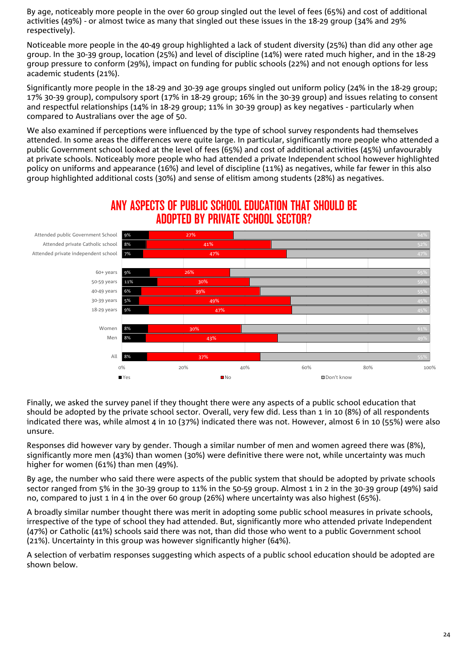By age, noticeably more people in the over 60 group singled out the level of fees (65%) and cost of additional activities (49%) - or almost twice as many that singled out these issues in the 18-29 group (34% and 29% respectively).

Noticeable more people in the 40-49 group highlighted a lack of student diversity (25%) than did any other age group. In the 30-39 group, location (25%) and level of discipline (14%) were rated much higher, and in the 18-29 group pressure to conform (29%), impact on funding for public schools (22%) and not enough options for less academic students (21%).

Significantly more people in the 18-29 and 30-39 age groups singled out uniform policy (24% in the 18-29 group; 17% 30-39 group), compulsory sport (17% in 18-29 group; 16% in the 30-39 group) and issues relating to consent and respectful relationships (14% in 18-29 group; 11% in 30-39 group) as key negatives - particularly when compared to Australians over the age of 50.

We also examined if perceptions were influenced by the type of school survey respondents had themselves attended. In some areas the differences were quite large. In particular, significantly more people who attended a public Government school looked at the level of fees (65%) and cost of additional activities (45%) unfavourably at private schools. Noticeably more people who had attended a private Independent school however highlighted policy on uniforms and appearance (16%) and level of discipline (11%) as negatives, while far fewer in this also group highlighted additional costs (30%) and sense of elitism among students (28%) as negatives.



### ANY ASPECTS OF PUBLIC SCHOOL EDUCATION THAT SHOULD BE ADOPTED BY PRIVATE SCHOOL SECTOR?

Finally, we asked the survey panel if they thought there were any aspects of a public school education that should be adopted by the private school sector. Overall, very few did. Less than 1 in 10 (8%) of all respondents indicated there was, while almost 4 in 10 (37%) indicated there was not. However, almost 6 in 10 (55%) were also unsure.

Responses did however vary by gender. Though a similar number of men and women agreed there was (8%), significantly more men (43%) than women (30%) were definitive there were not, while uncertainty was much higher for women (61%) than men (49%).

By age, the number who said there were aspects of the public system that should be adopted by private schools sector ranged from 5% in the 30-39 group to 11% in the 50-59 group. Almost 1 in 2 in the 30-39 group (49%) said no, compared to just 1 in 4 in the over 60 group (26%) where uncertainty was also highest (65%).

A broadly similar number thought there was merit in adopting some public school measures in private schools, irrespective of the type of school they had attended. But, significantly more who attended private Independent (47%) or Catholic (41%) schools said there was not, than did those who went to a public Government school (21%). Uncertainty in this group was however significantly higher (64%).

A selection of verbatim responses suggesting which aspects of a public school education should be adopted are shown below.